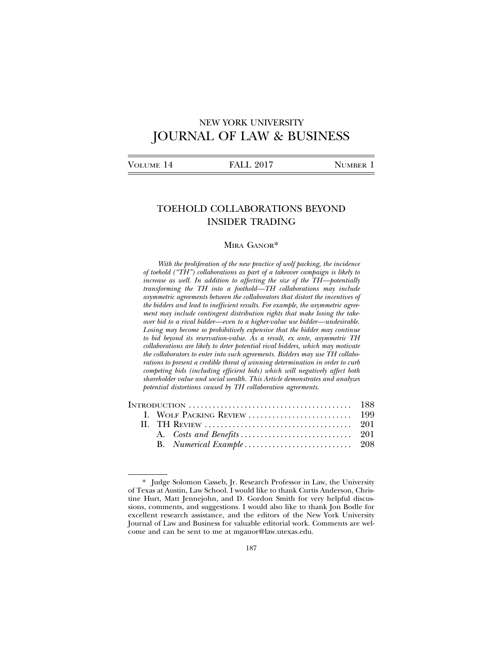# NEW YORK UNIVERSITY JOURNAL OF LAW & BUSINESS

# TOEHOLD COLLABORATIONS BEYOND INSIDER TRADING

### MIRA GANOR\*

*With the proliferation of the new practice of wolf packing, the incidence of toehold ("TH") collaborations as part of a takeover campaign is likely to increase as well. In addition to affecting the size of the TH—potentially transforming the TH into a foothold—TH collaborations may include asymmetric agreements between the collaborators that distort the incentives of the bidders and lead to inefficient results. For example, the asymmetric agreement may include contingent distribution rights that make losing the takeover bid to a rival bidder—even to a higher-value use bidder—undesirable. Losing may become so prohibitively expensive that the bidder may continue to bid beyond its reservation-value. As a result, ex ante, asymmetric TH collaborations are likely to deter potential rival bidders, which may motivate the collaborators to enter into such agreements. Bidders may use TH collaborations to present a credible threat of winning determination in order to curb competing bids (including efficient bids) which will negatively affect both shareholder value and social wealth. This Article demonstrates and analyzes potential distortions caused by TH collaboration agreements.*

<sup>\*</sup> Judge Solomon Casseb, Jr. Research Professor in Law, the University of Texas at Austin, Law School. I would like to thank Curtis Anderson, Christine Hurt, Matt Jennejohn, and D. Gordon Smith for very helpful discussions, comments, and suggestions. I would also like to thank Jon Bodle for excellent research assistance, and the editors of the New York University Journal of Law and Business for valuable editorial work. Comments are welcome and can be sent to me at mganor@law.utexas.edu.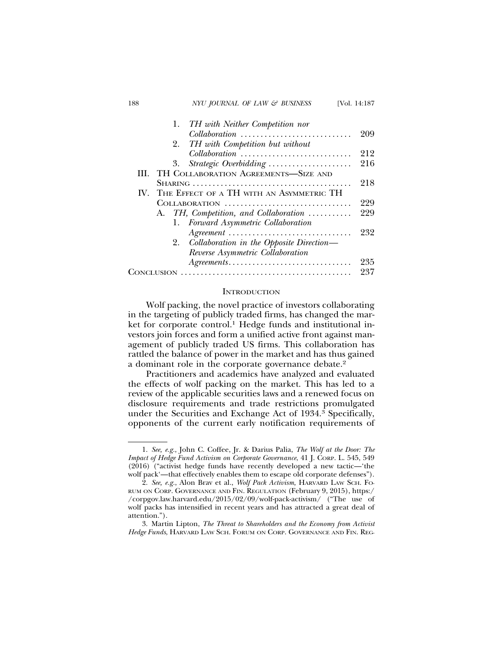| 188     | NYU JOURNAL OF LAW & BUSINESS                                                   | [Vol. 14:187 |
|---------|---------------------------------------------------------------------------------|--------------|
|         | TH with Neither Competition nor<br>1.                                           |              |
|         | $\textit{Collaboration}\ \dots \dots \dots \dots \dots \dots \dots \dots \dots$ | 209          |
|         | TH with Competition but without<br>2.                                           |              |
|         | Collaboration                                                                   | 212          |
|         | Strategic Overbidding<br>3.                                                     | 216          |
| HL.     | TH COLLABORATION AGREEMENTS-SIZE AND                                            |              |
|         |                                                                                 | 218          |
| $W_{-}$ | THE EFFECT OF A TH WITH AN ASYMMETRIC TH                                        |              |
|         | COLLABORATION                                                                   | 229          |
|         | A. TH, Competition, and Collaboration                                           | 229          |
|         | 1. Forward Asymmetric Collaboration                                             |              |
|         | Agreement                                                                       | 232          |
|         | Collaboration in the Opposite Direction—<br>2.                                  |              |
|         | Reverse Asymmetric Collaboration                                                |              |
|         | Agreements                                                                      | 235          |
|         |                                                                                 | 237          |

#### **INTRODUCTION**

Wolf packing, the novel practice of investors collaborating in the targeting of publicly traded firms, has changed the market for corporate control.<sup>1</sup> Hedge funds and institutional investors join forces and form a unified active front against management of publicly traded US firms. This collaboration has rattled the balance of power in the market and has thus gained a dominant role in the corporate governance debate.<sup>2</sup>

Practitioners and academics have analyzed and evaluated the effects of wolf packing on the market. This has led to a review of the applicable securities laws and a renewed focus on disclosure requirements and trade restrictions promulgated under the Securities and Exchange Act of 1934.3 Specifically, opponents of the current early notification requirements of

<sup>1.</sup> *See, e.g.*, John C. Coffee, Jr. & Darius Palia, *The Wolf at the Door: The Impact of Hedge Fund Activism on Corporate Governance*, 41 J. CORP. L. 545, 549 (2016) ("activist hedge funds have recently developed a new tactic—'the wolf pack'—that effectively enables them to escape old corporate defenses").

<sup>2.</sup> *See, e.g.*, Alon Brav et al., *Wolf Pack Activism,* HARVARD LAW SCH. FO-RUM ON CORP. GOVERNANCE AND FIN. REGULATION (February 9, 2015), https:/ /corpgov.law.harvard.edu/2015/02/09/wolf-pack-activism/ ("The use of wolf packs has intensified in recent years and has attracted a great deal of attention.").

<sup>3.</sup> Martin Lipton, *The Threat to Shareholders and the Economy from Activist Hedge Funds*, HARVARD LAW SCH. FORUM ON CORP. GOVERNANCE AND FIN. REG-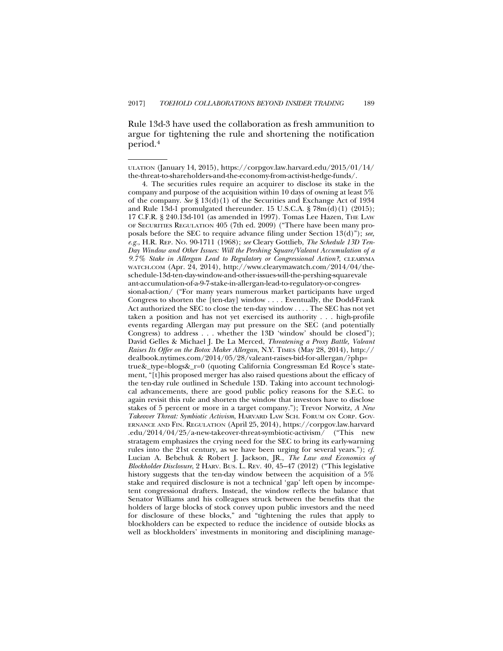Rule 13d-3 have used the collaboration as fresh ammunition to argue for tightening the rule and shortening the notification period.4

ULATION (January 14, 2015), https://corpgov.law.harvard.edu/2015/01/14/ the-threat-to-shareholders-and-the-economy-from-activist-hedge-funds/.

<sup>4.</sup> The securities rules require an acquirer to disclose its stake in the company and purpose of the acquisition within 10 days of owning at least 5% of the company. *See* § 13(d)(1) of the Securities and Exchange Act of 1934 and Rule 13d-1 promulgated thereunder. 15 U.S.C.A.  $\frac{1}{5}$  78m(d)(1) (2015); 17 C.F.R. § 240.13d-101 (as amended in 1997). Tomas Lee Hazen, THE LAW OF SECURITIES REGULATION 405 (7th ed. 2009) ("There have been many proposals before the SEC to require advance filing under Section 13(d)"); *see, e.g.*, H.R. REP. NO. 90-1711 (1968); *see* Cleary Gottlieb, *The Schedule 13D Ten-Day Window and Other Issues: Will the Pershing Square/Valeant Accumulation of a 9.7% Stake in Allergan Lead to Regulatory or Congressional Action?*, CLEARYMA WATCH.COM (Apr. 24, 2014), http://www.clearymawatch.com/2014/04/theschedule-13d-ten-day-window-and-other-issues-will-the-pershing-squarevale ant-accumulation-of-a-9-7-stake-in-allergan-lead-to-regulatory-or-congressional-action/ ("For many years numerous market participants have urged Congress to shorten the [ten-day] window . . . . Eventually, the Dodd-Frank Act authorized the SEC to close the ten-day window . . . . The SEC has not yet taken a position and has not yet exercised its authority . . . high-profile events regarding Allergan may put pressure on the SEC (and potentially Congress) to address . . . whether the 13D 'window' should be closed"); David Gelles & Michael J. De La Merced, *Threatening a Proxy Battle, Valeant Raises Its Offer on the Botox Maker Allergan*, N.Y. TIMES (May 28, 2014), http:// dealbook.nytimes.com/2014/05/28/valeant-raises-bid-for-allergan/?php= true&\_type=blogs&\_r=0 (quoting California Congressman Ed Royce's statement, "[t]his proposed merger has also raised questions about the efficacy of the ten-day rule outlined in Schedule 13D. Taking into account technological advancements, there are good public policy reasons for the S.E.C. to again revisit this rule and shorten the window that investors have to disclose stakes of 5 percent or more in a target company."); Trevor Norwitz, *A New Takeover Threat: Symbiotic Activism*, HARVARD LAW SCH. FORUM ON CORP. GOV-ERNANCE AND FIN. REGULATION (April 25, 2014), https://corpgov.law.harvard .edu/2014/04/25/a-new-takeover-threat-symbiotic-activism/ ("This new stratagem emphasizes the crying need for the SEC to bring its early-warning rules into the 21st century, as we have been urging for several years."); *cf.* Lucian A. Bebchuk & Robert J. Jackson, JR., *The Law and Economics of Blockholder Disclosure*, 2 HARV. BUS. L. REV. 40, 45–47 (2012) ("This legislative history suggests that the ten-day window between the acquisition of a 5% stake and required disclosure is not a technical 'gap' left open by incompetent congressional drafters. Instead, the window reflects the balance that Senator Williams and his colleagues struck between the benefits that the holders of large blocks of stock convey upon public investors and the need for disclosure of these blocks," and "tightening the rules that apply to blockholders can be expected to reduce the incidence of outside blocks as well as blockholders' investments in monitoring and disciplining manage-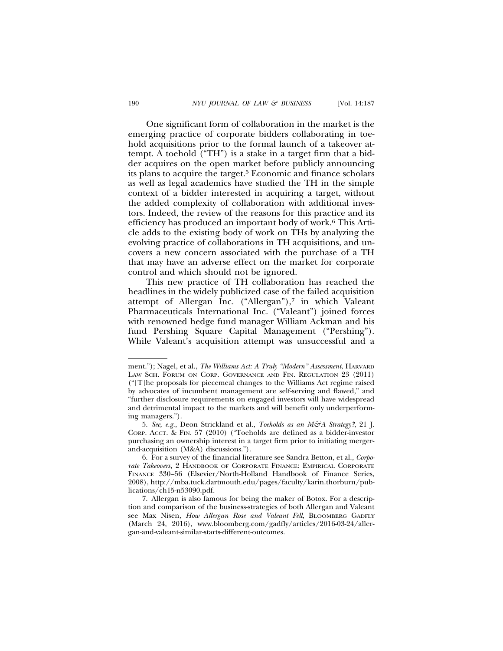One significant form of collaboration in the market is the emerging practice of corporate bidders collaborating in toehold acquisitions prior to the formal launch of a takeover attempt. A toehold ("TH") is a stake in a target firm that a bidder acquires on the open market before publicly announcing its plans to acquire the target.5 Economic and finance scholars as well as legal academics have studied the TH in the simple context of a bidder interested in acquiring a target, without the added complexity of collaboration with additional investors. Indeed, the review of the reasons for this practice and its efficiency has produced an important body of work.6 This Article adds to the existing body of work on THs by analyzing the evolving practice of collaborations in TH acquisitions, and uncovers a new concern associated with the purchase of a TH that may have an adverse effect on the market for corporate control and which should not be ignored.

This new practice of TH collaboration has reached the headlines in the widely publicized case of the failed acquisition attempt of Allergan Inc. ("Allergan"),<sup>7</sup> in which Valeant Pharmaceuticals International Inc. ("Valeant") joined forces with renowned hedge fund manager William Ackman and his fund Pershing Square Capital Management ("Pershing"). While Valeant's acquisition attempt was unsuccessful and a

ment."); Nagel, et al., *The Williams Act: A Truly "Modern" Assessment*, HARVARD LAW SCH. FORUM ON CORP. GOVERNANCE AND FIN. REGULATION 23 (2011) ("[T]he proposals for piecemeal changes to the Williams Act regime raised by advocates of incumbent management are self-serving and flawed," and "further disclosure requirements on engaged investors will have widespread and detrimental impact to the markets and will benefit only underperforming managers.").

<sup>5.</sup> *See, e.g.*, Deon Strickland et al., *Toeholds as an M&A Strategy?*, 21 J. CORP. ACCT. & FIN. 57 (2010) ("Toeholds are defined as a bidder-investor purchasing an ownership interest in a target firm prior to initiating mergerand-acquisition (M&A) discussions.").

<sup>6.</sup> For a survey of the financial literature see Sandra Betton, et al., *Corporate Takeovers*, 2 HANDBOOK OF CORPORATE FINANCE: EMPIRICAL CORPORATE FINANCE 330–56 (Elsevier/North-Holland Handbook of Finance Series, 2008), http://mba.tuck.dartmouth.edu/pages/faculty/karin.thorburn/publications/ch15-n53090.pdf.

<sup>7.</sup> Allergan is also famous for being the maker of Botox. For a description and comparison of the business-strategies of both Allergan and Valeant see Max Nisen, *How Allergan Rose and Valeant Fell*, BLOOMBERG GADFLY (March 24, 2016), www.bloomberg.com/gadfly/articles/2016-03-24/allergan-and-valeant-similar-starts-different-outcomes.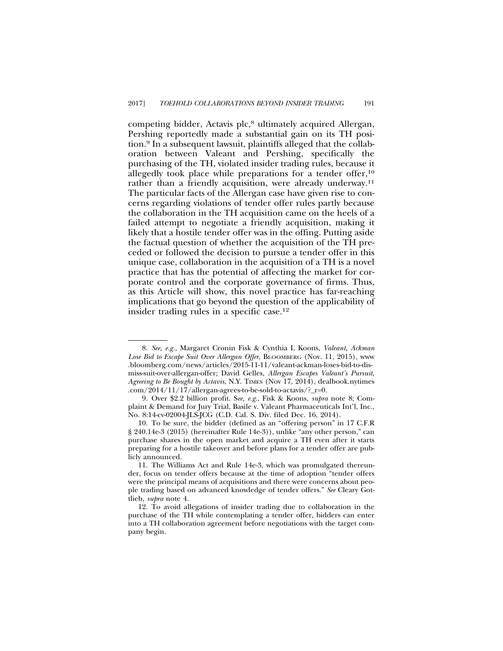competing bidder, Actavis plc,<sup>8</sup> ultimately acquired Allergan, Pershing reportedly made a substantial gain on its TH position.9 In a subsequent lawsuit, plaintiffs alleged that the collaboration between Valeant and Pershing, specifically the purchasing of the TH, violated insider trading rules, because it allegedly took place while preparations for a tender offer,<sup>10</sup> rather than a friendly acquisition, were already underway.<sup>11</sup> The particular facts of the Allergan case have given rise to concerns regarding violations of tender offer rules partly because the collaboration in the TH acquisition came on the heels of a failed attempt to negotiate a friendly acquisition, making it likely that a hostile tender offer was in the offing. Putting aside the factual question of whether the acquisition of the TH preceded or followed the decision to pursue a tender offer in this unique case, collaboration in the acquisition of a TH is a novel practice that has the potential of affecting the market for corporate control and the corporate governance of firms. Thus, as this Article will show, this novel practice has far-reaching implications that go beyond the question of the applicability of insider trading rules in a specific case.12

<sup>8.</sup> *See, e.g.*, Margaret Cronin Fisk & Cynthia L Koons, *Valeant, Ackman Lose Bid to Escape Suit Over Allergan Offer*, BLOOMBERG (Nov. 11, 2015), www .bloomberg.com/news/articles/2015-11-11/valeant-ackman-loses-bid-to-dismiss-suit-over-allergan-offer; David Gelles, *Allergan Escapes Valeant's Pursuit, Agreeing to Be Bought by Actavis*, N.Y. TIMES (Nov 17, 2014), dealbook.nytimes .com/2014/11/17/allergan-agrees-to-be-sold-to-actavis/?\_r=0.

<sup>9.</sup> Over \$2.2 billion profit. S*ee, e.g.*, Fisk & Koons, *supra* note 8; Complaint & Demand for Jury Trial, Basile v. Valeant Pharmaceuticals Int'l, Inc., No. 8:14-cv-02004-JLS-JCG (C.D. Cal. S. Div. filed Dec. 16, 2014).

<sup>10.</sup> To be sure, the bidder (defined as an "offering person" in 17 C.F.R § 240.14e-3 (2015) (hereinafter Rule 14e-3)), unlike "any other person," can purchase shares in the open market and acquire a TH even after it starts preparing for a hostile takeover and before plans for a tender offer are publicly announced.

<sup>11.</sup> The Williams Act and Rule 14e-3, which was promulgated thereunder, focus on tender offers because at the time of adoption "tender offers were the principal means of acquisitions and there were concerns about people trading based on advanced knowledge of tender offers." *See* Cleary Gottlieb, *supra* note 4.

<sup>12.</sup> To avoid allegations of insider trading due to collaboration in the purchase of the TH while contemplating a tender offer, bidders can enter into a TH collaboration agreement before negotiations with the target company begin.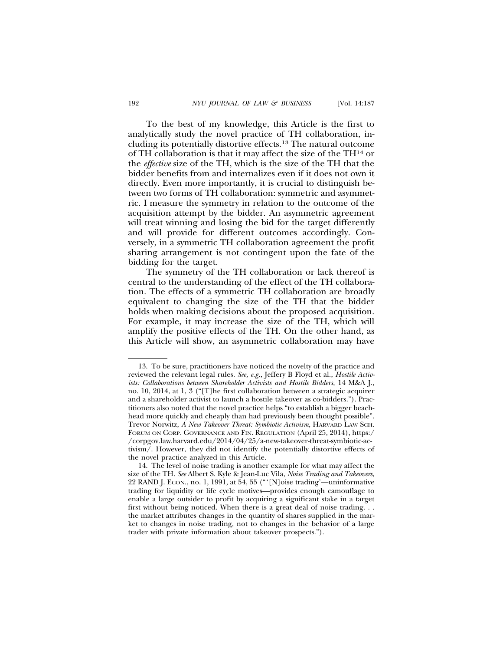To the best of my knowledge, this Article is the first to analytically study the novel practice of TH collaboration, including its potentially distortive effects.13 The natural outcome of TH collaboration is that it may affect the size of the TH14 or the *effective* size of the TH, which is the size of the TH that the bidder benefits from and internalizes even if it does not own it directly. Even more importantly, it is crucial to distinguish between two forms of TH collaboration: symmetric and asymmetric. I measure the symmetry in relation to the outcome of the acquisition attempt by the bidder. An asymmetric agreement will treat winning and losing the bid for the target differently and will provide for different outcomes accordingly. Conversely, in a symmetric TH collaboration agreement the profit sharing arrangement is not contingent upon the fate of the bidding for the target.

The symmetry of the TH collaboration or lack thereof is central to the understanding of the effect of the TH collaboration. The effects of a symmetric TH collaboration are broadly equivalent to changing the size of the TH that the bidder holds when making decisions about the proposed acquisition. For example, it may increase the size of the TH, which will amplify the positive effects of the TH. On the other hand, as this Article will show, an asymmetric collaboration may have

<sup>13.</sup> To be sure, practitioners have noticed the novelty of the practice and reviewed the relevant legal rules. *See, e.g.*, Jeffery B Floyd et al., *Hostile Activists: Collaborations between Shareholder Activists and Hostile Bidders*, 14 M&A J., no. 10, 2014, at 1, 3 ("[T]he first collaboration between a strategic acquirer and a shareholder activist to launch a hostile takeover as co-bidders."). Practitioners also noted that the novel practice helps "to establish a bigger beachhead more quickly and cheaply than had previously been thought possible". Trevor Norwitz, *A New Takeover Threat: Symbiotic Activism*, HARVARD LAW SCH. FORUM ON CORP. GOVERNANCE AND FIN. REGULATION (April 25, 2014), https:/ /corpgov.law.harvard.edu/2014/04/25/a-new-takeover-threat-symbiotic-activism/. However, they did not identify the potentially distortive effects of the novel practice analyzed in this Article.

<sup>14.</sup> The level of noise trading is another example for what may affect the size of the TH. *See* Albert S. Kyle & Jean-Luc Vila, *Noise Trading and Takeovers*, 22 RAND J. ECON., no. 1, 1991, at 54, 55 ("'[N]oise trading'—uninformative trading for liquidity or life cycle motives—provides enough camouflage to enable a large outsider to profit by acquiring a significant stake in a target first without being noticed. When there is a great deal of noise trading. . . the market attributes changes in the quantity of shares supplied in the market to changes in noise trading, not to changes in the behavior of a large trader with private information about takeover prospects.").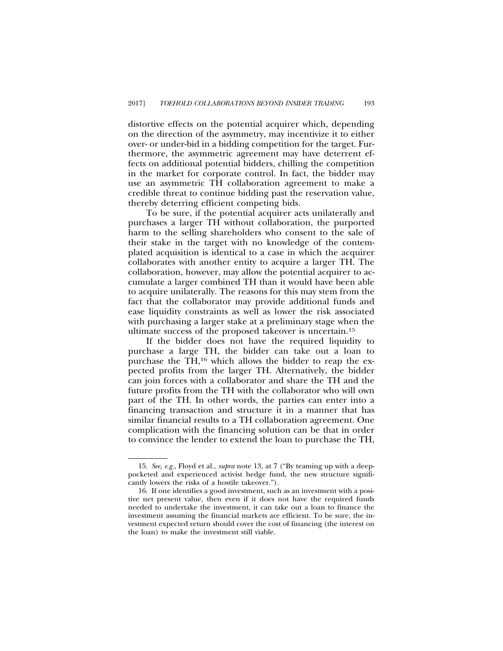distortive effects on the potential acquirer which, depending on the direction of the asymmetry, may incentivize it to either over- or under-bid in a bidding competition for the target. Furthermore, the asymmetric agreement may have deterrent effects on additional potential bidders, chilling the competition in the market for corporate control. In fact, the bidder may use an asymmetric TH collaboration agreement to make a credible threat to continue bidding past the reservation value, thereby deterring efficient competing bids.

To be sure, if the potential acquirer acts unilaterally and purchases a larger TH without collaboration, the purported harm to the selling shareholders who consent to the sale of their stake in the target with no knowledge of the contemplated acquisition is identical to a case in which the acquirer collaborates with another entity to acquire a larger TH. The collaboration, however, may allow the potential acquirer to accumulate a larger combined TH than it would have been able to acquire unilaterally. The reasons for this may stem from the fact that the collaborator may provide additional funds and ease liquidity constraints as well as lower the risk associated with purchasing a larger stake at a preliminary stage when the ultimate success of the proposed takeover is uncertain.15

If the bidder does not have the required liquidity to purchase a large TH, the bidder can take out a loan to purchase the TH,16 which allows the bidder to reap the expected profits from the larger TH. Alternatively, the bidder can join forces with a collaborator and share the TH and the future profits from the TH with the collaborator who will own part of the TH. In other words, the parties can enter into a financing transaction and structure it in a manner that has similar financial results to a TH collaboration agreement. One complication with the financing solution can be that in order to convince the lender to extend the loan to purchase the TH,

<sup>15.</sup> *See, e.g.*, Floyd et al., *supra* note 13, at 7 ("By teaming up with a deeppocketed and experienced activist hedge fund, the new structure significantly lowers the risks of a hostile takeover.").

<sup>16.</sup> If one identifies a good investment, such as an investment with a positive net present value, then even if it does not have the required funds needed to undertake the investment, it can take out a loan to finance the investment assuming the financial markets are efficient. To be sure, the investment expected return should cover the cost of financing (the interest on the loan) to make the investment still viable.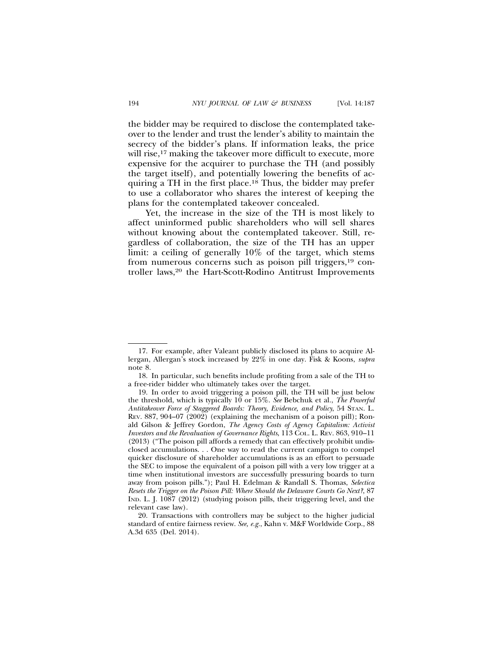the bidder may be required to disclose the contemplated takeover to the lender and trust the lender's ability to maintain the secrecy of the bidder's plans. If information leaks, the price will rise,<sup>17</sup> making the takeover more difficult to execute, more expensive for the acquirer to purchase the TH (and possibly the target itself), and potentially lowering the benefits of acquiring a TH in the first place.18 Thus, the bidder may prefer to use a collaborator who shares the interest of keeping the plans for the contemplated takeover concealed.

Yet, the increase in the size of the TH is most likely to affect uninformed public shareholders who will sell shares without knowing about the contemplated takeover. Still, regardless of collaboration, the size of the TH has an upper limit: a ceiling of generally 10% of the target, which stems from numerous concerns such as poison pill triggers,19 controller laws,<sup>20</sup> the Hart-Scott-Rodino Antitrust Improvements

<sup>17.</sup> For example, after Valeant publicly disclosed its plans to acquire Allergan, Allergan's stock increased by 22% in one day. Fisk & Koons, *supra* note 8.

<sup>18.</sup> In particular, such benefits include profiting from a sale of the TH to a free-rider bidder who ultimately takes over the target.

<sup>19.</sup> In order to avoid triggering a poison pill, the TH will be just below the threshold, which is typically 10 or 15%. *See* Bebchuk et al., *The Powerful Antitakeover Force of Staggered Boards: Theory, Evidence, and Policy*, 54 STAN. L. REV. 887, 904–07 (2002) (explaining the mechanism of a poison pill); Ronald Gilson & Jeffrey Gordon, *The Agency Costs of Agency Capitalism: Activist Investors and the Revaluation of Governance Rights*, 113 COL. L. REV. 863, 910–11 (2013) ("The poison pill affords a remedy that can effectively prohibit undisclosed accumulations. . . One way to read the current campaign to compel quicker disclosure of shareholder accumulations is as an effort to persuade the SEC to impose the equivalent of a poison pill with a very low trigger at a time when institutional investors are successfully pressuring boards to turn away from poison pills."); Paul H. Edelman & Randall S. Thomas, *Selectica Resets the Trigger on the Poison Pill: Where Should the Delaware Courts Go Next?*, 87 IND. L. J. 1087 (2012) (studying poison pills, their triggering level, and the relevant case law).

<sup>20.</sup> Transactions with controllers may be subject to the higher judicial standard of entire fairness review. *See, e.g.*, Kahn v. M&F Worldwide Corp., 88 A.3d 635 (Del. 2014).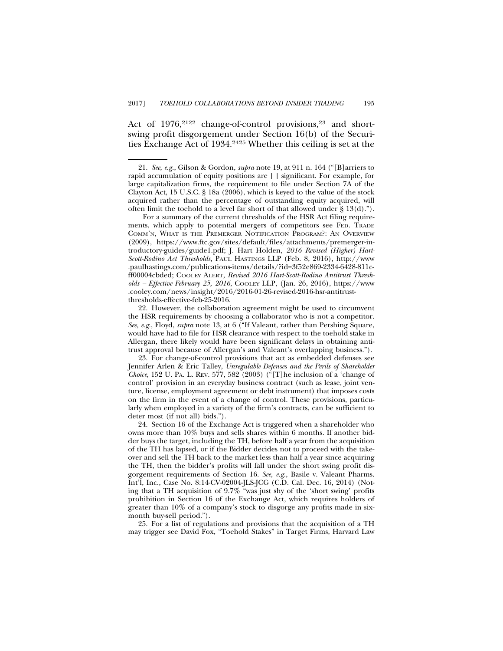Act of 1976,<sup>2122</sup> change-of-control provisions,<sup>23</sup> and shortswing profit disgorgement under Section 16(b) of the Securities Exchange Act of 1934.2425 Whether this ceiling is set at the

For a summary of the current thresholds of the HSR Act filing requirements, which apply to potential mergers of competitors see FED. TRADE COMM'N, WHAT IS THE PREMERGER NOTIFICATION PROGRAM?: AN OVERVIEW (2009), https://www.ftc.gov/sites/default/files/attachments/premerger-introductory-guides/guide1.pdf; J. Hart Holden, *2016 Revised (Higher) Hart-Scott-Rodino Act Thresholds*, PAUL HASTINGS LLP (Feb. 8, 2016), http://www .paulhastings.com/publications-items/details/?id=3f52e869-2334-6428-811cff00004cbded; COOLEY ALERT, *Revised 2016 Hart-Scott-Rodino Antitrust Thresholds – Effective February 25, 2016*, COOLEY LLP, (Jan. 26, 2016), https://www .cooley.com/news/insight/2016/2016-01-26-revised-2016-hsr-antitrust-

thresholds-effective-feb-25-2016.

22. However, the collaboration agreement might be used to circumvent the HSR requirements by choosing a collaborator who is not a competitor. *See, e.g.*, Floyd, *supra* note 13, at 6 ("If Valeant, rather than Pershing Square, would have had to file for HSR clearance with respect to the toehold stake in Allergan, there likely would have been significant delays in obtaining antitrust approval because of Allergan's and Valeant's overlapping business.").

23. For change-of-control provisions that act as embedded defenses see Jennifer Arlen & Eric Talley, *Unregulable Defenses and the Perils of Shareholder Choice*, 152 U. PA. L. REV. 577, 582 (2003) ("[T]he inclusion of a 'change of control' provision in an everyday business contract (such as lease, joint venture, license, employment agreement or debt instrument) that imposes costs on the firm in the event of a change of control. These provisions, particularly when employed in a variety of the firm's contracts, can be sufficient to deter most (if not all) bids.").

24. Section 16 of the Exchange Act is triggered when a shareholder who owns more than 10% buys and sells shares within 6 months. If another bidder buys the target, including the TH, before half a year from the acquisition of the TH has lapsed, or if the Bidder decides not to proceed with the takeover and sell the TH back to the market less than half a year since acquiring the TH, then the bidder's profits will fall under the short swing profit disgorgement requirements of Section 16. *See, e.g.*, Basile v. Valeant Pharms. Int'l, Inc., Case No. 8:14-CV-02004-JLS-JCG (C.D. Cal. Dec. 16, 2014) (Noting that a TH acquisition of 9.7% "was just shy of the 'short swing' profits prohibition in Section 16 of the Exchange Act, which requires holders of greater than 10% of a company's stock to disgorge any profits made in sixmonth buy-sell period.").

25. For a list of regulations and provisions that the acquisition of a TH may trigger see David Fox, "Toehold Stakes" in Target Firms, Harvard Law

<sup>21.</sup> *See, e.g.*, Gilson & Gordon, *supra* note 19, at 911 n. 164 ("[B]arriers to rapid accumulation of equity positions are [ ] significant. For example, for large capitalization firms, the requirement to file under Section 7A of the Clayton Act, 15 U.S.C. § 18a (2006), which is keyed to the value of the stock acquired rather than the percentage of outstanding equity acquired, will often limit the toehold to a level far short of that allowed under § 13(d).").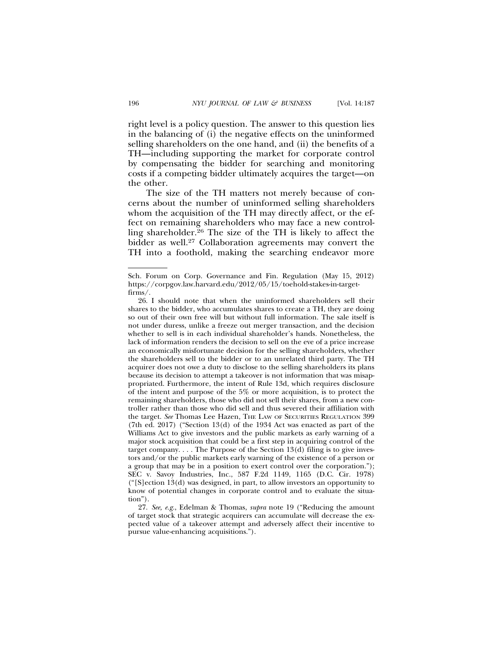right level is a policy question. The answer to this question lies in the balancing of (i) the negative effects on the uninformed selling shareholders on the one hand, and (ii) the benefits of a TH—including supporting the market for corporate control by compensating the bidder for searching and monitoring

the other. The size of the TH matters not merely because of concerns about the number of uninformed selling shareholders whom the acquisition of the TH may directly affect, or the effect on remaining shareholders who may face a new controlling shareholder. ${}^{26}$  The size of the TH is likely to affect the bidder as well.27 Collaboration agreements may convert the TH into a foothold, making the searching endeavor more

costs if a competing bidder ultimately acquires the target—on

Sch. Forum on Corp. Governance and Fin. Regulation (May 15, 2012) https://corpgov.law.harvard.edu/2012/05/15/toehold-stakes-in-targetfirms/.

<sup>26.</sup> I should note that when the uninformed shareholders sell their shares to the bidder, who accumulates shares to create a TH, they are doing so out of their own free will but without full information. The sale itself is not under duress, unlike a freeze out merger transaction, and the decision whether to sell is in each individual shareholder's hands. Nonetheless, the lack of information renders the decision to sell on the eve of a price increase an economically misfortunate decision for the selling shareholders, whether the shareholders sell to the bidder or to an unrelated third party. The TH acquirer does not owe a duty to disclose to the selling shareholders its plans because its decision to attempt a takeover is not information that was misappropriated. Furthermore, the intent of Rule 13d, which requires disclosure of the intent and purpose of the 5% or more acquisition, is to protect the remaining shareholders, those who did not sell their shares, from a new controller rather than those who did sell and thus severed their affiliation with the target. See Thomas Lee Hazen, THE LAW OF SECURITIES REGULATION 399 (7th ed. 2017) ("Section 13(d) of the 1934 Act was enacted as part of the Williams Act to give investors and the public markets as early warning of a major stock acquisition that could be a first step in acquiring control of the target company.  $\ldots$  The Purpose of the Section 13(d) filing is to give investors and/or the public markets early warning of the existence of a person or a group that may be in a position to exert control over the corporation."); SEC v. Savoy Industries, Inc., 587 F.2d 1149, 1165 (D.C. Cir. 1978)  $("S]$ ection 13(d) was designed, in part, to allow investors an opportunity to know of potential changes in corporate control and to evaluate the situation").

<sup>27.</sup> *See, e.g.*, Edelman & Thomas, *supra* note 19 ("Reducing the amount of target stock that strategic acquirers can accumulate will decrease the expected value of a takeover attempt and adversely affect their incentive to pursue value-enhancing acquisitions.").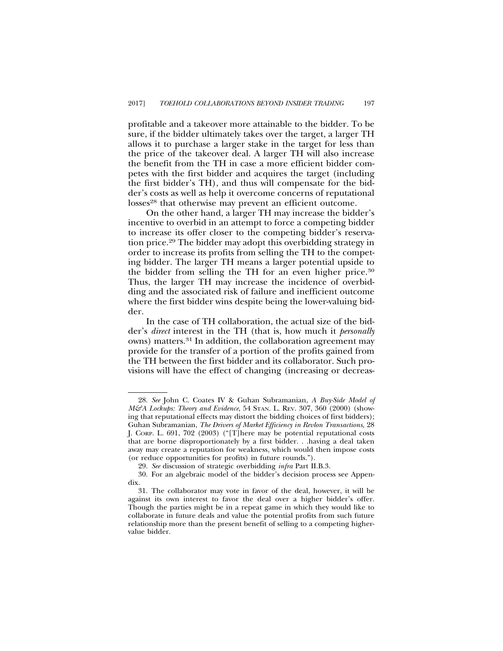profitable and a takeover more attainable to the bidder. To be sure, if the bidder ultimately takes over the target, a larger TH allows it to purchase a larger stake in the target for less than the price of the takeover deal. A larger TH will also increase the benefit from the TH in case a more efficient bidder competes with the first bidder and acquires the target (including the first bidder's TH), and thus will compensate for the bidder's costs as well as help it overcome concerns of reputational losses<sup>28</sup> that otherwise may prevent an efficient outcome.

On the other hand, a larger TH may increase the bidder's incentive to overbid in an attempt to force a competing bidder to increase its offer closer to the competing bidder's reservation price.29 The bidder may adopt this overbidding strategy in order to increase its profits from selling the TH to the competing bidder. The larger TH means a larger potential upside to the bidder from selling the TH for an even higher price.30 Thus, the larger TH may increase the incidence of overbidding and the associated risk of failure and inefficient outcome where the first bidder wins despite being the lower-valuing bidder.

In the case of TH collaboration, the actual size of the bidder's *direct* interest in the TH (that is, how much it *personally* owns) matters.31 In addition, the collaboration agreement may provide for the transfer of a portion of the profits gained from the TH between the first bidder and its collaborator. Such provisions will have the effect of changing (increasing or decreas-

<sup>28.</sup> *See* John C. Coates IV & Guhan Subramanian, *A Buy-Side Model of M&A Lockups: Theory and Evidence*, 54 STAN. L. REV. 307, 360 (2000) (showing that reputational effects may distort the bidding choices of first bidders); Guhan Subramanian, *The Drivers of Market Efficiency in Revlon Transactions,* 28 J. CORP. L. 691, 702 (2003) ("[T]here may be potential reputational costs that are borne disproportionately by a first bidder. . .having a deal taken away may create a reputation for weakness, which would then impose costs (or reduce opportunities for profits) in future rounds.").

<sup>29.</sup> *See* discussion of strategic overbidding *infra* Part II.B.3.

<sup>30.</sup> For an algebraic model of the bidder's decision process see Appendix.

<sup>31.</sup> The collaborator may vote in favor of the deal, however, it will be against its own interest to favor the deal over a higher bidder's offer. Though the parties might be in a repeat game in which they would like to collaborate in future deals and value the potential profits from such future relationship more than the present benefit of selling to a competing highervalue bidder.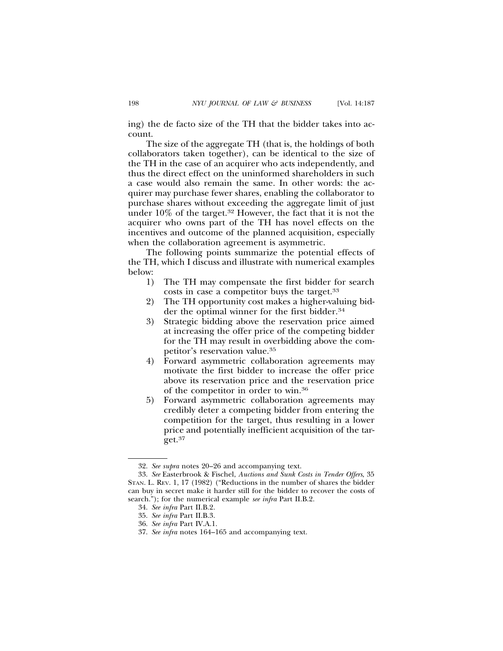ing) the de facto size of the TH that the bidder takes into account.

The size of the aggregate TH (that is, the holdings of both collaborators taken together), can be identical to the size of the TH in the case of an acquirer who acts independently, and thus the direct effect on the uninformed shareholders in such a case would also remain the same. In other words: the acquirer may purchase fewer shares, enabling the collaborator to purchase shares without exceeding the aggregate limit of just under 10% of the target.32 However, the fact that it is not the acquirer who owns part of the TH has novel effects on the incentives and outcome of the planned acquisition, especially when the collaboration agreement is asymmetric.

The following points summarize the potential effects of the TH, which I discuss and illustrate with numerical examples below:

- 1) The TH may compensate the first bidder for search costs in case a competitor buys the target.33
- 2) The TH opportunity cost makes a higher-valuing bidder the optimal winner for the first bidder.<sup>34</sup>
- 3) Strategic bidding above the reservation price aimed at increasing the offer price of the competing bidder for the TH may result in overbidding above the competitor's reservation value.35
- 4) Forward asymmetric collaboration agreements may motivate the first bidder to increase the offer price above its reservation price and the reservation price of the competitor in order to win.36
- 5) Forward asymmetric collaboration agreements may credibly deter a competing bidder from entering the competition for the target, thus resulting in a lower price and potentially inefficient acquisition of the target.37

<sup>32.</sup> *See supra* notes 20–26 and accompanying text.

<sup>33.</sup> *See* Easterbrook & Fischel, *Auctions and Sunk Costs in Tender Offers*, 35 STAN. L. REV. 1, 17 (1982) ("Reductions in the number of shares the bidder can buy in secret make it harder still for the bidder to recover the costs of search."); for the numerical example *see infra* Part II.B.2.

<sup>34.</sup> *See infra* Part II.B.2.

<sup>35.</sup> *See infra* Part II.B.3.

<sup>36.</sup> *See infra* Part IV.A.1.

<sup>37.</sup> *See infra* notes 164–165 and accompanying text.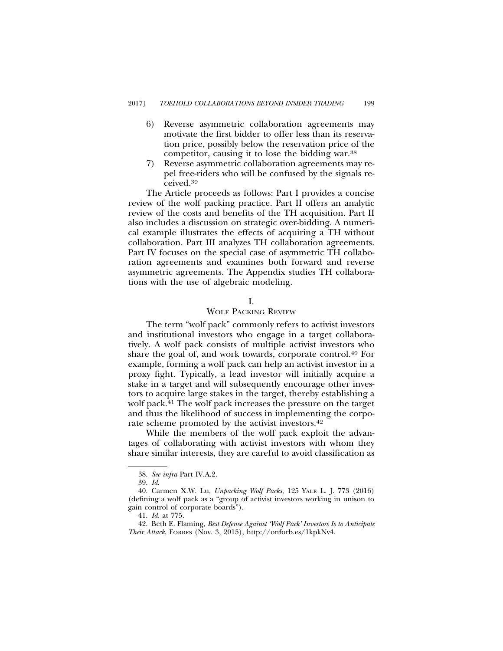- 6) Reverse asymmetric collaboration agreements may motivate the first bidder to offer less than its reservation price, possibly below the reservation price of the competitor, causing it to lose the bidding war.38
- 7) Reverse asymmetric collaboration agreements may repel free-riders who will be confused by the signals received.39

The Article proceeds as follows: Part I provides a concise review of the wolf packing practice. Part II offers an analytic review of the costs and benefits of the TH acquisition. Part II also includes a discussion on strategic over-bidding. A numerical example illustrates the effects of acquiring a TH without collaboration. Part III analyzes TH collaboration agreements. Part IV focuses on the special case of asymmetric TH collaboration agreements and examines both forward and reverse asymmetric agreements. The Appendix studies TH collaborations with the use of algebraic modeling.

## I.

# WOLF PACKING REVIEW

The term "wolf pack" commonly refers to activist investors and institutional investors who engage in a target collaboratively. A wolf pack consists of multiple activist investors who share the goal of, and work towards, corporate control.40 For example, forming a wolf pack can help an activist investor in a proxy fight. Typically, a lead investor will initially acquire a stake in a target and will subsequently encourage other investors to acquire large stakes in the target, thereby establishing a wolf pack.41 The wolf pack increases the pressure on the target and thus the likelihood of success in implementing the corporate scheme promoted by the activist investors.<sup>42</sup>

While the members of the wolf pack exploit the advantages of collaborating with activist investors with whom they share similar interests, they are careful to avoid classification as

<sup>38.</sup> *See infra* Part IV.A.2.

<sup>39.</sup> *Id*.

<sup>40.</sup> Carmen X.W. Lu, *Unpacking Wolf Packs*, 125 YALE L. J. 773 (2016) (defining a wolf pack as a "group of activist investors working in unison to gain control of corporate boards").

<sup>41.</sup> *Id.* at 775.

<sup>42.</sup> Beth E. Flaming, *Best Defense Against 'Wolf Pack' Investors Is to Anticipate Their Attack*, FORBES (Nov. 3, 2015), http://onforb.es/1kpkNv4.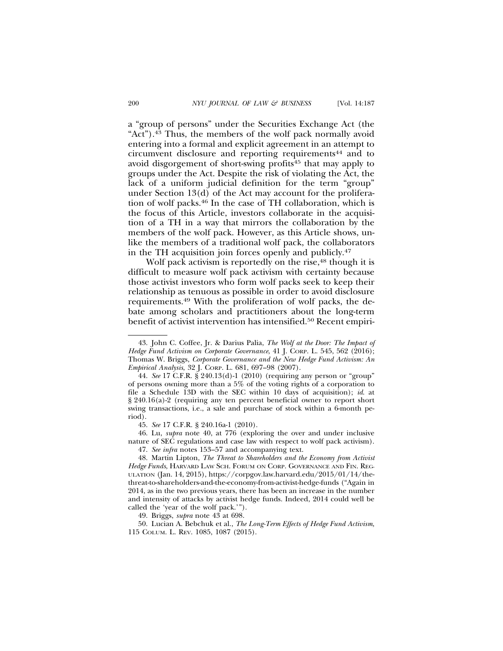a "group of persons" under the Securities Exchange Act (the "Act").43 Thus, the members of the wolf pack normally avoid entering into a formal and explicit agreement in an attempt to circumvent disclosure and reporting requirements<sup>44</sup> and to avoid disgorgement of short-swing profits45 that may apply to groups under the Act. Despite the risk of violating the Act, the lack of a uniform judicial definition for the term "group" under Section 13(d) of the Act may account for the proliferation of wolf packs.46 In the case of TH collaboration, which is the focus of this Article, investors collaborate in the acquisition of a TH in a way that mirrors the collaboration by the members of the wolf pack. However, as this Article shows, unlike the members of a traditional wolf pack, the collaborators in the TH acquisition join forces openly and publicly.47

Wolf pack activism is reportedly on the rise,<sup>48</sup> though it is difficult to measure wolf pack activism with certainty because those activist investors who form wolf packs seek to keep their relationship as tenuous as possible in order to avoid disclosure requirements.49 With the proliferation of wolf packs, the debate among scholars and practitioners about the long-term benefit of activist intervention has intensified.<sup>50</sup> Recent empiri-

45. *See* 17 C.F.R. § 240.16a-1 (2010).

46. Lu, *supra* note 40, at 776 (exploring the over and under inclusive nature of SEC regulations and case law with respect to wolf pack activism).

47. *See infra* notes 153–57 and accompanying text.

49. Briggs, *supra* note 43 at 698.

50. Lucian A. Bebchuk et al., *The Long-Term Effects of Hedge Fund Activism*, 115 COLUM. L. REV. 1085, 1087 (2015).

<sup>43.</sup> John C. Coffee, Jr. & Darius Palia, *The Wolf at the Door: The Impact of Hedge Fund Activism on Corporate Governance*, 41 J. CORP. L. 545, 562 (2016); Thomas W. Briggs, *Corporate Governance and the New Hedge Fund Activism: An Empirical Analysis*, 32 J. CORP. L. 681, 697–98 (2007).

<sup>44.</sup> *See* 17 C.F.R. § 240.13(d)-1 (2010) (requiring any person or "group" of persons owning more than a 5% of the voting rights of a corporation to file a Schedule 13D with the SEC within 10 days of acquisition); *id*. at § 240.16(a)-2 (requiring any ten percent beneficial owner to report short swing transactions, i.e., a sale and purchase of stock within a 6-month period).

<sup>48.</sup> Martin Lipton, *The Threat to Shareholders and the Economy from Activist Hedge Funds*, HARVARD LAW SCH. FORUM ON CORP. GOVERNANCE AND FIN. REG-ULATION (Jan. 14, 2015), https://corpgov.law.harvard.edu/2015/01/14/thethreat-to-shareholders-and-the-economy-from-activist-hedge-funds ("Again in 2014, as in the two previous years, there has been an increase in the number and intensity of attacks by activist hedge funds. Indeed, 2014 could well be called the 'year of the wolf pack.'").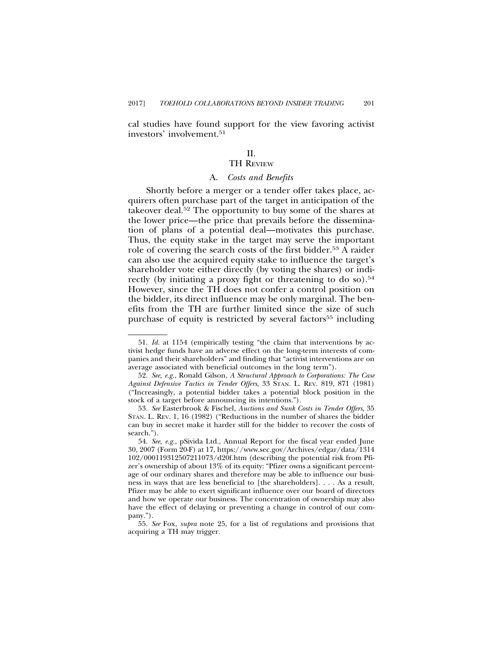cal studies have found support for the view favoring activist investors' involvement.51

# II.

# TH REVIEW

## A. *Costs and Benefits*

Shortly before a merger or a tender offer takes place, acquirers often purchase part of the target in anticipation of the takeover deal.52 The opportunity to buy some of the shares at the lower price—the price that prevails before the dissemination of plans of a potential deal—motivates this purchase. Thus, the equity stake in the target may serve the important role of covering the search costs of the first bidder.53 A raider can also use the acquired equity stake to influence the target's shareholder vote either directly (by voting the shares) or indirectly (by initiating a proxy fight or threatening to do so).<sup>54</sup> However, since the TH does not confer a control position on the bidder, its direct influence may be only marginal. The benefits from the TH are further limited since the size of such purchase of equity is restricted by several factors<sup>55</sup> including

<sup>51.</sup> *Id.* at 1154 (empirically testing "the claim that interventions by activist hedge funds have an adverse effect on the long-term interests of companies and their shareholders" and finding that "activist interventions are on average associated with beneficial outcomes in the long term").

<sup>52.</sup> *See, e.g.*, Ronald Gilson, *A Structural Approach to Corporations: The Case Against Defensive Tactics in Tender Offers*, 33 STAN. L. REV. 819, 871 (1981) ("Increasingly, a potential bidder takes a potential block position in the stock of a target before announcing its intentions.").

<sup>53.</sup> *See* Easterbrook & Fischel, *Auctions and Sunk Costs in Tender Offers*, 35 STAN. L. REV. 1, 16 (1982) ("Reductions in the number of shares the bidder can buy in secret make it harder still for the bidder to recover the costs of search.").

<sup>54.</sup> *See, e.g.*, pSivida Ltd., Annual Report for the fiscal year ended June 30, 2007 (Form 20-F) at 17, https://www.sec.gov/Archives/edgar/data/1314 102/000119312507211073/d20f.htm (describing the potential risk from Pfizer's ownership of about 13% of its equity: "Pfizer owns a significant percentage of our ordinary shares and therefore may be able to influence our business in ways that are less beneficial to [the shareholders]. . . . As a result, Pfizer may be able to exert significant influence over our board of directors and how we operate our business. The concentration of ownership may also have the effect of delaying or preventing a change in control of our company.").

<sup>55.</sup> *See* Fox, *supra* note 25, for a list of regulations and provisions that acquiring a TH may trigger.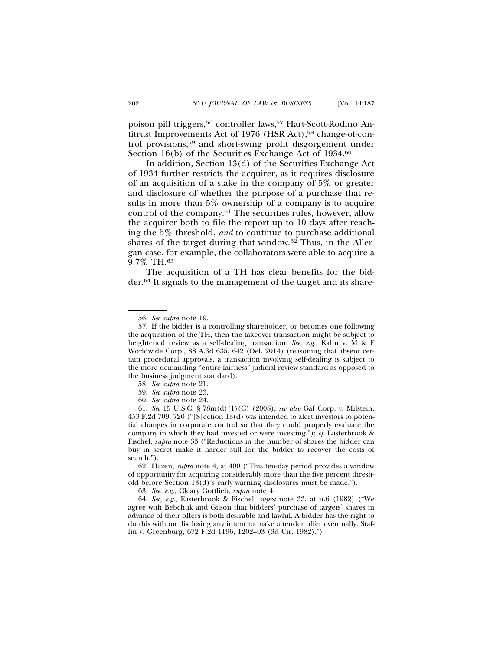poison pill triggers,<sup>56</sup> controller laws,<sup>57</sup> Hart-Scott-Rodino Antitrust Improvements Act of 1976 (HSR Act),<sup>58</sup> change-of-control provisions,59 and short-swing profit disgorgement under Section 16(b) of the Securities Exchange Act of 1934.<sup>60</sup>

In addition, Section 13(d) of the Securities Exchange Act of 1934 further restricts the acquirer, as it requires disclosure of an acquisition of a stake in the company of 5% or greater and disclosure of whether the purpose of a purchase that results in more than 5% ownership of a company is to acquire control of the company.61 The securities rules, however, allow the acquirer both to file the report up to 10 days after reaching the 5% threshold, *and* to continue to purchase additional shares of the target during that window.<sup>62</sup> Thus, in the Allergan case, for example, the collaborators were able to acquire a 9.7% TH.63

The acquisition of a TH has clear benefits for the bidder.64 It signals to the management of the target and its share-

63. *See, e.g.*, Cleary Gottlieb, *supra* note 4.

64. *See, e.g.*, Easterbrook & Fischel, *supra* note 33, at n.6 (1982) ("We agree with Bebchuk and Gilson that bidders' purchase of targets' shares in advance of their offers is both desirable and lawful. A bidder has the right to do this without disclosing any intent to make a tender offer eventually. Staffin v. Greenburg, 672 F.2d 1196, 1202–03 (3d Cir. 1982).")

<sup>56.</sup> *See supra* note 19.

<sup>57.</sup> If the bidder is a controlling shareholder, or becomes one following the acquisition of the TH, then the takeover transaction might be subject to heightened review as a self-dealing transaction. *See, e.g.*, Kahn v. M & F Worldwide Corp., 88 A.3d 635, 642 (Del. 2014) (reasoning that absent certain procedural approvals, a transaction involving self-dealing is subject to the more demanding "entire fairness" judicial review standard as opposed to the business judgment standard).

<sup>58.</sup> *See supra* note 21.

<sup>59.</sup> *See supra* note 23.

<sup>60.</sup> *See supra* note 24.

<sup>61.</sup> *See* 15 U.S.C. § 78m(d)(1)(C) (2008); *see also* Gaf Corp. v. Milstein, 453 F.2d 709, 720 ("[S]ection 13(d) was intended to alert investors to potential changes in corporate control so that they could properly evaluate the company in which they had invested or were investing."); *cf.* Easterbrook & Fischel, *supra* note 33 ("Reductions in the number of shares the bidder can buy in secret make it harder still for the bidder to recover the costs of search.").

<sup>62.</sup> Hazen, *supra* note 4, at 400 ("This ten-day period provides a window of opportunity for acquiring considerably more than the five percent threshold before Section 13(d)'s early warning disclosures must be made.").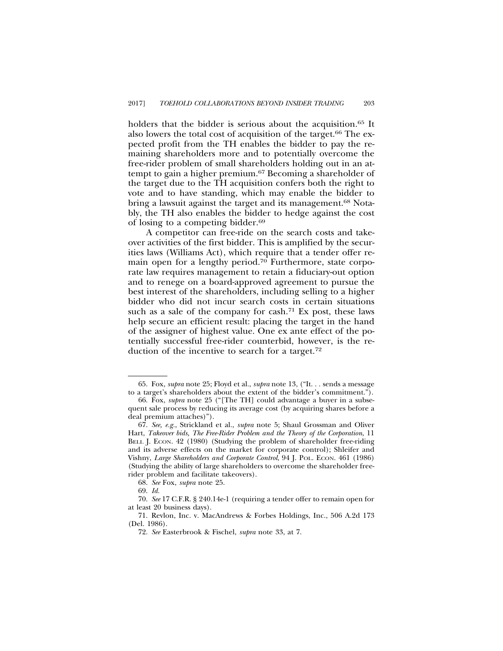holders that the bidder is serious about the acquisition.<sup>65</sup> It also lowers the total cost of acquisition of the target.<sup>66</sup> The expected profit from the TH enables the bidder to pay the remaining shareholders more and to potentially overcome the free-rider problem of small shareholders holding out in an attempt to gain a higher premium.67 Becoming a shareholder of the target due to the TH acquisition confers both the right to vote and to have standing, which may enable the bidder to bring a lawsuit against the target and its management.<sup>68</sup> Notably, the TH also enables the bidder to hedge against the cost of losing to a competing bidder.69

A competitor can free-ride on the search costs and takeover activities of the first bidder. This is amplified by the securities laws (Williams Act), which require that a tender offer remain open for a lengthy period.70 Furthermore, state corporate law requires management to retain a fiduciary-out option and to renege on a board-approved agreement to pursue the best interest of the shareholders, including selling to a higher bidder who did not incur search costs in certain situations such as a sale of the company for cash.<sup>71</sup> Ex post, these laws help secure an efficient result: placing the target in the hand of the assigner of highest value. One ex ante effect of the potentially successful free-rider counterbid, however, is the reduction of the incentive to search for a target.72

<sup>65.</sup> Fox, *supra* note 25; Floyd et al., *supra* note 13, ("It. . . sends a message to a target's shareholders about the extent of the bidder's commitment.").

<sup>66.</sup> Fox, *supra* note 25 ("[The TH] could advantage a buyer in a subsequent sale process by reducing its average cost (by acquiring shares before a deal premium attaches)").

<sup>67.</sup> *See, e.g.*, Strickland et al., *supra* note 5; Shaul Grossman and Oliver Hart, *Takeover bids, The Free-Rider Problem and the Theory of the Corporation*, 11 BELL J. ECON. 42 (1980) (Studying the problem of shareholder free-riding and its adverse effects on the market for corporate control); Shleifer and Vishny, *Large Shareholders and Corporate Control*, 94 J. POL. ECON. 461 (1986) (Studying the ability of large shareholders to overcome the shareholder freerider problem and facilitate takeovers).

<sup>68.</sup> *See* Fox, *supra* note 25.

<sup>69.</sup> *Id.*

<sup>70.</sup> *See* 17 C.F.R. § 240.14e-1 (requiring a tender offer to remain open for at least 20 business days).

<sup>71.</sup> Revlon, Inc. v. MacAndrews & Forbes Holdings, Inc., 506 A.2d 173 (Del. 1986).

<sup>72.</sup> *See* Easterbrook & Fischel, *supra* note 33, at 7.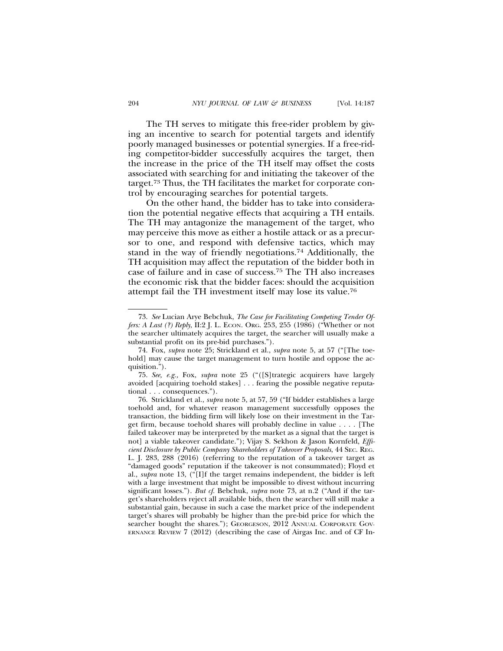The TH serves to mitigate this free-rider problem by giving an incentive to search for potential targets and identify poorly managed businesses or potential synergies. If a free-riding competitor-bidder successfully acquires the target, then the increase in the price of the TH itself may offset the costs associated with searching for and initiating the takeover of the target.73 Thus, the TH facilitates the market for corporate control by encouraging searches for potential targets.

On the other hand, the bidder has to take into consideration the potential negative effects that acquiring a TH entails. The TH may antagonize the management of the target, who may perceive this move as either a hostile attack or as a precursor to one, and respond with defensive tactics, which may stand in the way of friendly negotiations.74 Additionally, the TH acquisition may affect the reputation of the bidder both in case of failure and in case of success.75 The TH also increases the economic risk that the bidder faces: should the acquisition attempt fail the TH investment itself may lose its value.76

<sup>73.</sup> *See* Lucian Arye Bebchuk, *The Case for Facilitating Competing Tender Offers: A Last (?) Reply*, II:2 J. L. ECON. ORG. 253, 255 (1986) ("Whether or not the searcher ultimately acquires the target, the searcher will usually make a substantial profit on its pre-bid purchases.").

<sup>74.</sup> Fox, *supra* note 25; Strickland et al., *supra* note 5, at 57 ("[The toehold] may cause the target management to turn hostile and oppose the acquisition.").

<sup>75.</sup> *See, e.g.,* Fox, *supra* note 25 ("([S]trategic acquirers have largely avoided [acquiring toehold stakes] . . . fearing the possible negative reputational . . . consequences.").

<sup>76.</sup> Strickland et al., *supra* note 5, at 57, 59 ("If bidder establishes a large toehold and, for whatever reason management successfully opposes the transaction, the bidding firm will likely lose on their investment in the Target firm, because toehold shares will probably decline in value . . . . [The failed takeover may be interpreted by the market as a signal that the target is not] a viable takeover candidate."); Vijay S. Sekhon & Jason Kornfeld, *Efficient Disclosure by Public Company Shareholders of Takeover Proposals*, 44 SEC. REG. L. J. 283, 288 (2016) (referring to the reputation of a takeover target as "damaged goods" reputation if the takeover is not consummated); Floyd et al., *supra* note 13, ("[I]f the target remains independent, the bidder is left with a large investment that might be impossible to divest without incurring significant losses."). *But cf.* Bebchuk, *supra* note 73, at n.2 ("And if the target's shareholders reject all available bids, then the searcher will still make a substantial gain, because in such a case the market price of the independent target's shares will probably be higher than the pre-bid price for which the searcher bought the shares."); GEORGESON, 2012 ANNUAL CORPORATE GOV-ERNANCE REVIEW 7 (2012) (describing the case of Airgas Inc. and of CF In-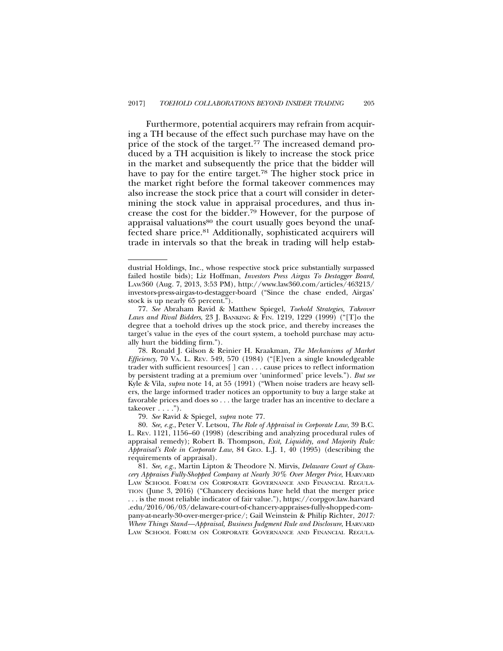Furthermore, potential acquirers may refrain from acquiring a TH because of the effect such purchase may have on the price of the stock of the target.77 The increased demand produced by a TH acquisition is likely to increase the stock price in the market and subsequently the price that the bidder will have to pay for the entire target.<sup>78</sup> The higher stock price in the market right before the formal takeover commences may also increase the stock price that a court will consider in determining the stock value in appraisal procedures, and thus increase the cost for the bidder.79 However, for the purpose of appraisal valuations<sup>80</sup> the court usually goes beyond the unaffected share price.81 Additionally, sophisticated acquirers will trade in intervals so that the break in trading will help estab-

79. *See* Ravid & Spiegel, *supra* note 77.

80. *See, e.g.*, Peter V. Letsou, *The Role of Appraisal in Corporate Law*, 39 B.C. L. REV. 1121, 1156–60 (1998) (describing and analyzing procedural rules of appraisal remedy); Robert B. Thompson, *Exit, Liquidity, and Majority Rule: Appraisal's Role in Corporate Law*, 84 GEO. L.J. 1, 40 (1995) (describing the requirements of appraisal).

81. *See, e.g.*, Martin Lipton & Theodore N. Mirvis, *Delaware Court of Chancery Appraises Fully-Shopped Company at Nearly 30% Over Merger Price*, HARVARD LAW SCHOOL FORUM ON CORPORATE GOVERNANCE AND FINANCIAL REGULA-TION (June 3, 2016) ("Chancery decisions have held that the merger price . . . is the most reliable indicator of fair value."), https://corpgov.law.harvard .edu/2016/06/03/delaware-court-of-chancery-appraises-fully-shopped-company-at-nearly-30-over-merger-price/; Gail Weinstein & Philip Richter, *2017: Where Things Stand—Appraisal, Business Judgment Rule and Disclosure*, HARVARD LAW SCHOOL FORUM ON CORPORATE GOVERNANCE AND FINANCIAL REGULA-

dustrial Holdings, Inc., whose respective stock price substantially surpassed failed hostile bids); Liz Hoffman, *Investors Press Airgas To Destagger Board*, LAW360 (Aug. 7, 2013, 3:53 PM), http://www.law360.com/articles/463213/ investors-press-airgas-to-destagger-board ("Since the chase ended, Airgas' stock is up nearly 65 percent.").

<sup>77.</sup> *See* Abraham Ravid & Matthew Spiegel, *Toehold Strategies, Takeover Laws and Rival Bidders*, 23 J. BANKING & FIN. 1219, 1229 (1999) ("[T]o the degree that a toehold drives up the stock price, and thereby increases the target's value in the eyes of the court system, a toehold purchase may actually hurt the bidding firm.").

<sup>78.</sup> Ronald J. Gilson & Reinier H. Kraakman, *The Mechanisms of Market Efficiency*, 70 VA. L. REV. 549, 570 (1984) ("[E]ven a single knowledgeable trader with sufficient resources[ ] can . . . cause prices to reflect information by persistent trading at a premium over 'uninformed' price levels."). *But see* Kyle & Vila, *supra* note 14, at 55 (1991) ("When noise traders are heavy sellers, the large informed trader notices an opportunity to buy a large stake at favorable prices and does so . . . the large trader has an incentive to declare a  $takeover \dots$ ").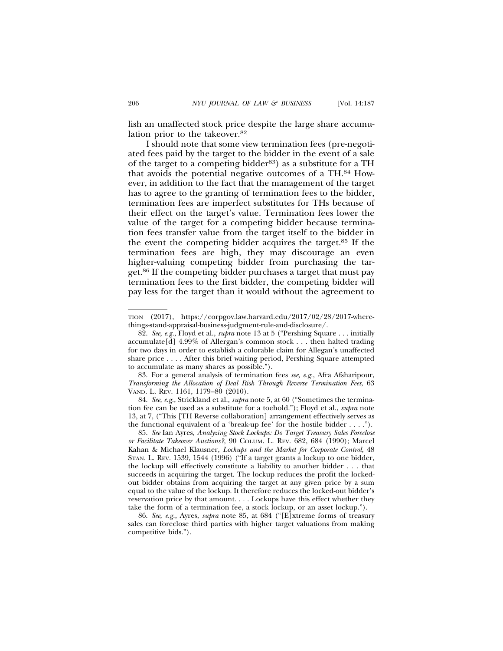lish an unaffected stock price despite the large share accumulation prior to the takeover.82

I should note that some view termination fees (pre-negotiated fees paid by the target to the bidder in the event of a sale of the target to a competing bidder<sup>83</sup>) as a substitute for a TH that avoids the potential negative outcomes of a TH.84 However, in addition to the fact that the management of the target has to agree to the granting of termination fees to the bidder, termination fees are imperfect substitutes for THs because of their effect on the target's value. Termination fees lower the value of the target for a competing bidder because termination fees transfer value from the target itself to the bidder in the event the competing bidder acquires the target.85 If the termination fees are high, they may discourage an even higher-valuing competing bidder from purchasing the target.86 If the competing bidder purchases a target that must pay termination fees to the first bidder, the competing bidder will pay less for the target than it would without the agreement to

TION (2017), https://corpgov.law.harvard.edu/2017/02/28/2017-wherethings-stand-appraisal-business-judgment-rule-and-disclosure/.

<sup>82.</sup> *See, e.g.*, Floyd et al., *supra* note 13 at 5 ("Pershing Square . . . initially accumulate[d] 4.99% of Allergan's common stock . . . then halted trading for two days in order to establish a colorable claim for Allegan's unaffected share price . . . . After this brief waiting period, Pershing Square attempted to accumulate as many shares as possible.").

<sup>83.</sup> For a general analysis of termination fees *see, e.g.*, Afra Afsharipour, *Transforming the Allocation of Deal Risk Through Reverse Termination Fees*, 63 VAND. L. REV. 1161, 1179–80 (2010).

<sup>84.</sup> *See, e.g.*, Strickland et al., *supra* note 5, at 60 ("Sometimes the termination fee can be used as a substitute for a toehold."); Floyd et al., *supra* note 13, at 7, ("This [TH Reverse collaboration] arrangement effectively serves as the functional equivalent of a 'break-up fee' for the hostile bidder . . . .").

<sup>85.</sup> *See* Ian Ayres, *Analyzing Stock Lockups: Do Target Treasury Sales Foreclose or Facilitate Takeover Auctions?*, 90 COLUM. L. REV. 682, 684 (1990); Marcel Kahan & Michael Klausner, *Lockups and the Market for Corporate Control*, 48 STAN. L. REV. 1539, 1544 (1996) ("If a target grants a lockup to one bidder, the lockup will effectively constitute a liability to another bidder . . . that succeeds in acquiring the target. The lockup reduces the profit the lockedout bidder obtains from acquiring the target at any given price by a sum equal to the value of the lockup. It therefore reduces the locked-out bidder's reservation price by that amount. . . . Lockups have this effect whether they take the form of a termination fee, a stock lockup, or an asset lockup.").

<sup>86.</sup> *See, e.g.*, Ayres, *supra* note 85, at 684 ("[E]xtreme forms of treasury sales can foreclose third parties with higher target valuations from making competitive bids.").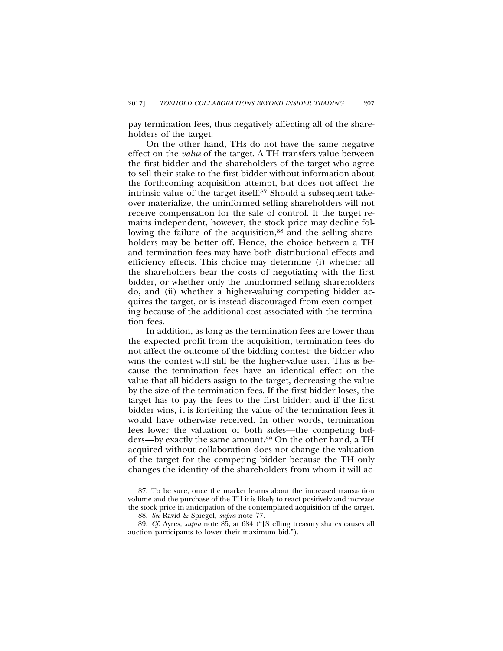pay termination fees, thus negatively affecting all of the shareholders of the target.

On the other hand, THs do not have the same negative effect on the *value* of the target. A TH transfers value between the first bidder and the shareholders of the target who agree to sell their stake to the first bidder without information about the forthcoming acquisition attempt, but does not affect the intrinsic value of the target itself.87 Should a subsequent takeover materialize, the uninformed selling shareholders will not receive compensation for the sale of control. If the target remains independent, however, the stock price may decline following the failure of the acquisition,<sup>88</sup> and the selling shareholders may be better off. Hence, the choice between a TH and termination fees may have both distributional effects and efficiency effects. This choice may determine (i) whether all the shareholders bear the costs of negotiating with the first bidder, or whether only the uninformed selling shareholders do, and (ii) whether a higher-valuing competing bidder acquires the target, or is instead discouraged from even competing because of the additional cost associated with the termination fees.

In addition, as long as the termination fees are lower than the expected profit from the acquisition, termination fees do not affect the outcome of the bidding contest: the bidder who wins the contest will still be the higher-value user. This is because the termination fees have an identical effect on the value that all bidders assign to the target, decreasing the value by the size of the termination fees. If the first bidder loses, the target has to pay the fees to the first bidder; and if the first bidder wins, it is forfeiting the value of the termination fees it would have otherwise received. In other words, termination fees lower the valuation of both sides—the competing bidders—by exactly the same amount.89 On the other hand, a TH acquired without collaboration does not change the valuation of the target for the competing bidder because the TH only changes the identity of the shareholders from whom it will ac-

<sup>87.</sup> To be sure, once the market learns about the increased transaction volume and the purchase of the TH it is likely to react positively and increase the stock price in anticipation of the contemplated acquisition of the target.

<sup>88.</sup> *See* Ravid & Spiegel, *supra* note 77.

<sup>89.</sup> *Cf.* Ayres, *supra* note 85, at 684 ("[S]elling treasury shares causes all auction participants to lower their maximum bid.").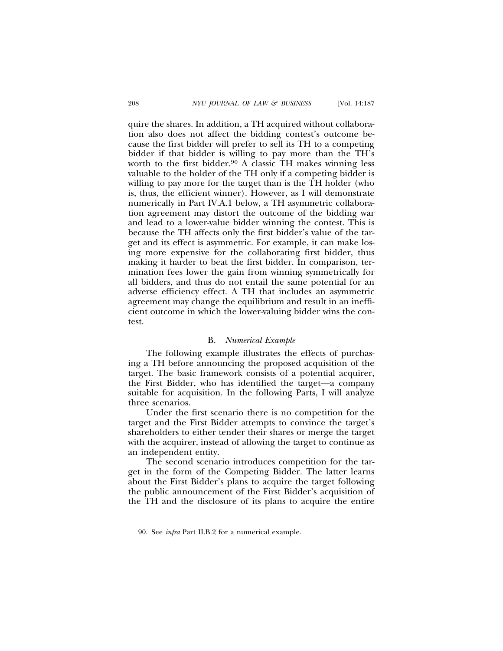quire the shares. In addition, a TH acquired without collaboration also does not affect the bidding contest's outcome because the first bidder will prefer to sell its TH to a competing bidder if that bidder is willing to pay more than the TH's worth to the first bidder.<sup>90</sup> A classic TH makes winning less valuable to the holder of the TH only if a competing bidder is willing to pay more for the target than is the TH holder (who is, thus, the efficient winner). However, as I will demonstrate numerically in Part IV.A.1 below, a TH asymmetric collaboration agreement may distort the outcome of the bidding war and lead to a lower-value bidder winning the contest. This is because the TH affects only the first bidder's value of the target and its effect is asymmetric. For example, it can make losing more expensive for the collaborating first bidder, thus making it harder to beat the first bidder. In comparison, termination fees lower the gain from winning symmetrically for all bidders, and thus do not entail the same potential for an adverse efficiency effect. A TH that includes an asymmetric agreement may change the equilibrium and result in an inefficient outcome in which the lower-valuing bidder wins the contest.

#### B. *Numerical Example*

The following example illustrates the effects of purchasing a TH before announcing the proposed acquisition of the target. The basic framework consists of a potential acquirer, the First Bidder, who has identified the target—a company suitable for acquisition. In the following Parts, I will analyze three scenarios.

Under the first scenario there is no competition for the target and the First Bidder attempts to convince the target's shareholders to either tender their shares or merge the target with the acquirer, instead of allowing the target to continue as an independent entity.

The second scenario introduces competition for the target in the form of the Competing Bidder. The latter learns about the First Bidder's plans to acquire the target following the public announcement of the First Bidder's acquisition of the TH and the disclosure of its plans to acquire the entire

<sup>90.</sup> See *infra* Part II.B.2 for a numerical example.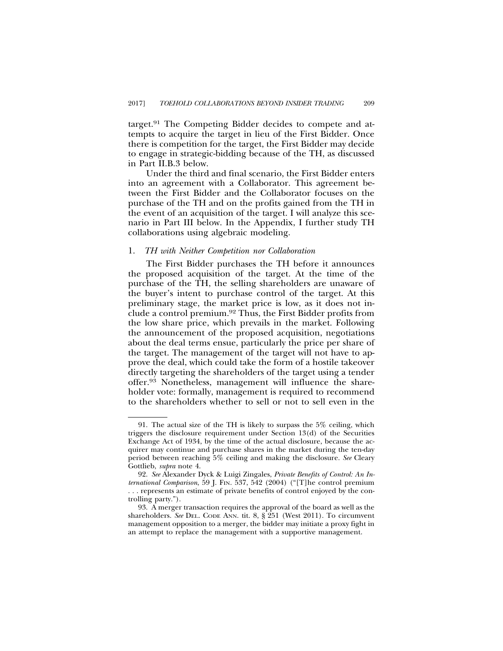target.91 The Competing Bidder decides to compete and attempts to acquire the target in lieu of the First Bidder. Once there is competition for the target, the First Bidder may decide to engage in strategic-bidding because of the TH, as discussed in Part II.B.3 below.

Under the third and final scenario, the First Bidder enters into an agreement with a Collaborator. This agreement between the First Bidder and the Collaborator focuses on the purchase of the TH and on the profits gained from the TH in the event of an acquisition of the target. I will analyze this scenario in Part III below. In the Appendix, I further study TH collaborations using algebraic modeling.

#### 1. *TH with Neither Competition nor Collaboration*

The First Bidder purchases the TH before it announces the proposed acquisition of the target. At the time of the purchase of the TH, the selling shareholders are unaware of the buyer's intent to purchase control of the target. At this preliminary stage, the market price is low, as it does not include a control premium.92 Thus, the First Bidder profits from the low share price, which prevails in the market. Following the announcement of the proposed acquisition, negotiations about the deal terms ensue, particularly the price per share of the target. The management of the target will not have to approve the deal, which could take the form of a hostile takeover directly targeting the shareholders of the target using a tender offer.93 Nonetheless, management will influence the shareholder vote: formally, management is required to recommend to the shareholders whether to sell or not to sell even in the

<sup>91.</sup> The actual size of the TH is likely to surpass the 5% ceiling, which triggers the disclosure requirement under Section 13(d) of the Securities Exchange Act of 1934, by the time of the actual disclosure, because the acquirer may continue and purchase shares in the market during the ten-day period between reaching 5% ceiling and making the disclosure. *See* Cleary Gottlieb, *supra* note 4.

<sup>92.</sup> *See* Alexander Dyck & Luigi Zingales, *Private Benefits of Control: An International Comparison*, 59 J. FIN. 537, 542 (2004) ("[T]he control premium . . . represents an estimate of private benefits of control enjoyed by the controlling party.").

<sup>93.</sup> A merger transaction requires the approval of the board as well as the shareholders. See DEL. CODE ANN. tit. 8, § 251 (West 2011). To circumvent management opposition to a merger, the bidder may initiate a proxy fight in an attempt to replace the management with a supportive management.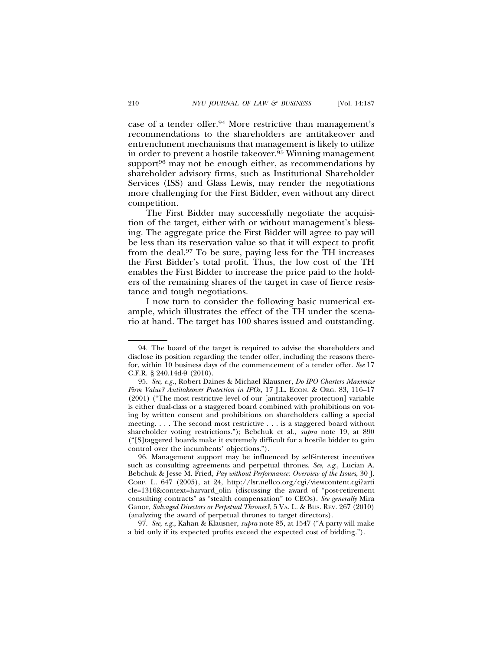case of a tender offer.94 More restrictive than management's recommendations to the shareholders are antitakeover and entrenchment mechanisms that management is likely to utilize in order to prevent a hostile takeover.95 Winning management support $96$  may not be enough either, as recommendations by shareholder advisory firms, such as Institutional Shareholder Services (ISS) and Glass Lewis, may render the negotiations more challenging for the First Bidder, even without any direct competition.

The First Bidder may successfully negotiate the acquisition of the target, either with or without management's blessing. The aggregate price the First Bidder will agree to pay will be less than its reservation value so that it will expect to profit from the deal.97 To be sure, paying less for the TH increases the First Bidder's total profit. Thus, the low cost of the TH enables the First Bidder to increase the price paid to the holders of the remaining shares of the target in case of fierce resistance and tough negotiations.

I now turn to consider the following basic numerical example, which illustrates the effect of the TH under the scenario at hand. The target has 100 shares issued and outstanding.

97. *See, e.g.*, Kahan & Klausner, *supra* note 85, at 1547 ("A party will make a bid only if its expected profits exceed the expected cost of bidding.").

<sup>94.</sup> The board of the target is required to advise the shareholders and disclose its position regarding the tender offer, including the reasons therefor, within 10 business days of the commencement of a tender offer. *See* 17 C.F.R. § 240.14d-9 (2010).

<sup>95.</sup> *See, e.g.*, Robert Daines & Michael Klausner, *Do IPO Charters Maximize Firm Value? Antitakeover Protection in IPOs*, 17 J.L. ECON. & ORG. 83, 116–17 (2001) ("The most restrictive level of our [antitakeover protection] variable is either dual-class or a staggered board combined with prohibitions on voting by written consent and prohibitions on shareholders calling a special meeting. . . . The second most restrictive . . . is a staggered board without shareholder voting restrictions."); Bebchuk et al., *supra* note 19, at 890 ("[S]taggered boards make it extremely difficult for a hostile bidder to gain control over the incumbents' objections.").

<sup>96.</sup> Management support may be influenced by self-interest incentives such as consulting agreements and perpetual thrones. *See, e.g.*, Lucian A. Bebchuk & Jesse M. Fried, *Pay without Performance: Overview of the Issues*, 30 J. CORP. L. 647 (2005), at 24, http://lsr.nellco.org/cgi/viewcontent.cgi?arti cle=1316&context=harvard\_olin (discussing the award of "post-retirement consulting contracts" as "stealth compensation" to CEOs). *See generally* Mira Ganor, *Salvaged Directors or Perpetual Thrones?*, 5 VA. L. & BUS. REV. 267 (2010) (analyzing the award of perpetual thrones to target directors).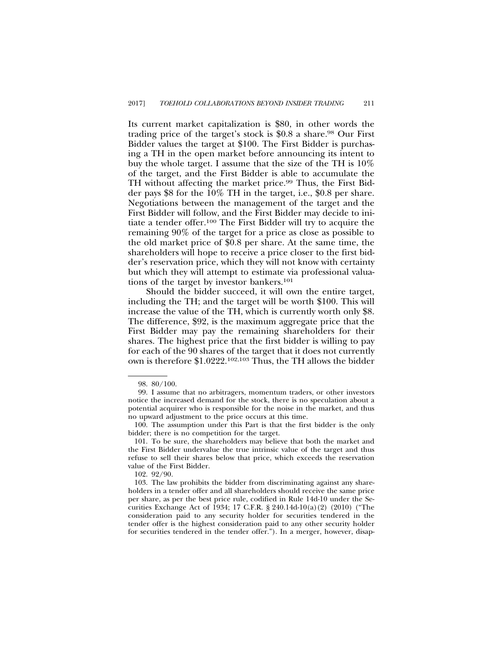Its current market capitalization is \$80, in other words the trading price of the target's stock is \$0.8 a share.<sup>98</sup> Our First Bidder values the target at \$100. The First Bidder is purchasing a TH in the open market before announcing its intent to buy the whole target. I assume that the size of the TH is 10% of the target, and the First Bidder is able to accumulate the TH without affecting the market price.<sup>99</sup> Thus, the First Bidder pays \$8 for the 10% TH in the target, i.e., \$0.8 per share. Negotiations between the management of the target and the First Bidder will follow, and the First Bidder may decide to initiate a tender offer.100 The First Bidder will try to acquire the remaining 90% of the target for a price as close as possible to the old market price of \$0.8 per share. At the same time, the shareholders will hope to receive a price closer to the first bidder's reservation price, which they will not know with certainty but which they will attempt to estimate via professional valuations of the target by investor bankers.101

Should the bidder succeed, it will own the entire target, including the TH; and the target will be worth \$100. This will increase the value of the TH, which is currently worth only \$8. The difference, \$92, is the maximum aggregate price that the First Bidder may pay the remaining shareholders for their shares. The highest price that the first bidder is willing to pay for each of the 90 shares of the target that it does not currently own is therefore \$1.0222.102,103 Thus, the TH allows the bidder

102. 92/90.

<sup>98. 80/100.</sup>

<sup>99.</sup> I assume that no arbitragers, momentum traders, or other investors notice the increased demand for the stock, there is no speculation about a potential acquirer who is responsible for the noise in the market, and thus no upward adjustment to the price occurs at this time.

<sup>100.</sup> The assumption under this Part is that the first bidder is the only bidder; there is no competition for the target.

<sup>101.</sup> To be sure, the shareholders may believe that both the market and the First Bidder undervalue the true intrinsic value of the target and thus refuse to sell their shares below that price, which exceeds the reservation value of the First Bidder.

<sup>103.</sup> The law prohibits the bidder from discriminating against any shareholders in a tender offer and all shareholders should receive the same price per share, as per the best price rule, codified in Rule 14d-10 under the Securities Exchange Act of 1934; 17 C.F.R. § 240.14d-10(a)(2) (2010) ("The consideration paid to any security holder for securities tendered in the tender offer is the highest consideration paid to any other security holder for securities tendered in the tender offer."). In a merger, however, disap-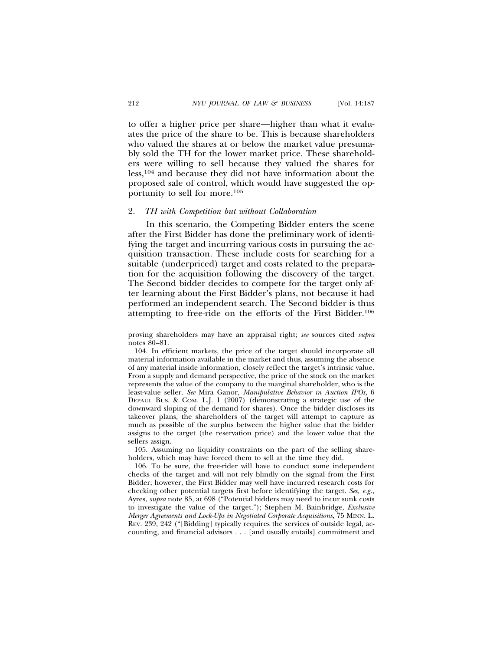to offer a higher price per share—higher than what it evaluates the price of the share to be. This is because shareholders who valued the shares at or below the market value presumably sold the TH for the lower market price. These shareholders were willing to sell because they valued the shares for less,104 and because they did not have information about the proposed sale of control, which would have suggested the opportunity to sell for more.105

#### 2. *TH with Competition but without Collaboration*

In this scenario, the Competing Bidder enters the scene after the First Bidder has done the preliminary work of identifying the target and incurring various costs in pursuing the acquisition transaction. These include costs for searching for a suitable (underpriced) target and costs related to the preparation for the acquisition following the discovery of the target. The Second bidder decides to compete for the target only after learning about the First Bidder's plans, not because it had performed an independent search. The Second bidder is thus attempting to free-ride on the efforts of the First Bidder.106

105. Assuming no liquidity constraints on the part of the selling shareholders, which may have forced them to sell at the time they did.

proving shareholders may have an appraisal right; *see* sources cited *supra* notes 80–81.

<sup>104.</sup> In efficient markets, the price of the target should incorporate all material information available in the market and thus, assuming the absence of any material inside information, closely reflect the target's intrinsic value. From a supply and demand perspective, the price of the stock on the market represents the value of the company to the marginal shareholder, who is the least-value seller. *See* Mira Ganor, *Manipulative Behavior in Auction IPOs*, 6 DEPAUL BUS. & COM. L.J. 1 (2007) (demonstrating a strategic use of the downward sloping of the demand for shares). Once the bidder discloses its takeover plans, the shareholders of the target will attempt to capture as much as possible of the surplus between the higher value that the bidder assigns to the target (the reservation price) and the lower value that the sellers assign.

<sup>106.</sup> To be sure, the free-rider will have to conduct some independent checks of the target and will not rely blindly on the signal from the First Bidder; however, the First Bidder may well have incurred research costs for checking other potential targets first before identifying the target. *See, e.g.,* Ayres, *supra* note 85, at 698 ("Potential bidders may need to incur sunk costs to investigate the value of the target."); Stephen M. Bainbridge, *Exclusive Merger Agreements and Lock-Ups in Negotiated Corporate Acquisitions*, 75 MINN. L. REV. 239, 242 ("[Bidding] typically requires the services of outside legal, accounting, and financial advisors . . . [and usually entails] commitment and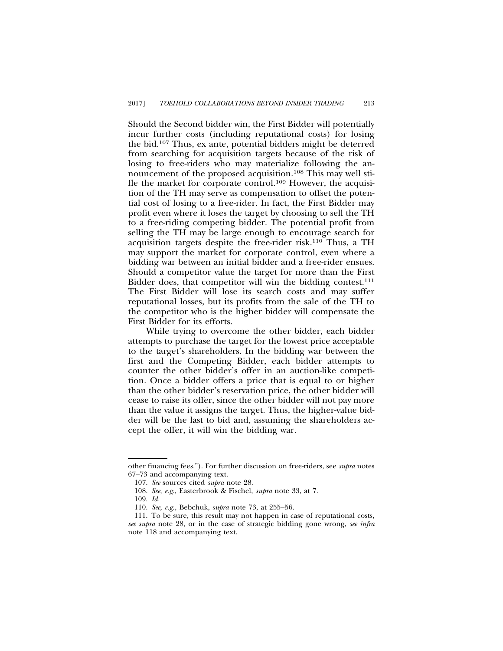Should the Second bidder win, the First Bidder will potentially incur further costs (including reputational costs) for losing the bid.107 Thus, ex ante, potential bidders might be deterred from searching for acquisition targets because of the risk of losing to free-riders who may materialize following the announcement of the proposed acquisition.108 This may well stifle the market for corporate control.109 However, the acquisition of the TH may serve as compensation to offset the potential cost of losing to a free-rider. In fact, the First Bidder may profit even where it loses the target by choosing to sell the TH to a free-riding competing bidder. The potential profit from selling the TH may be large enough to encourage search for acquisition targets despite the free-rider risk.110 Thus, a TH may support the market for corporate control, even where a bidding war between an initial bidder and a free-rider ensues. Should a competitor value the target for more than the First Bidder does, that competitor will win the bidding contest.<sup>111</sup> The First Bidder will lose its search costs and may suffer reputational losses, but its profits from the sale of the TH to the competitor who is the higher bidder will compensate the First Bidder for its efforts.

While trying to overcome the other bidder, each bidder attempts to purchase the target for the lowest price acceptable to the target's shareholders. In the bidding war between the first and the Competing Bidder, each bidder attempts to counter the other bidder's offer in an auction-like competition. Once a bidder offers a price that is equal to or higher than the other bidder's reservation price, the other bidder will cease to raise its offer, since the other bidder will not pay more than the value it assigns the target. Thus, the higher-value bidder will be the last to bid and, assuming the shareholders accept the offer, it will win the bidding war.

other financing fees."). For further discussion on free-riders, see *supra* notes 67–73 and accompanying text.

<sup>107.</sup> *See* sources cited *supra* note 28.

<sup>108.</sup> *See, e.g.*, Easterbrook & Fischel, *supra* note 33, at 7.

<sup>109.</sup> *Id.*

<sup>110.</sup> *See, e.g.,* Bebchuk, *supra* note 73, at 255–56.

<sup>111.</sup> To be sure, this result may not happen in case of reputational costs, *see supra* note 28, or in the case of strategic bidding gone wrong, *see infra* note 118 and accompanying text.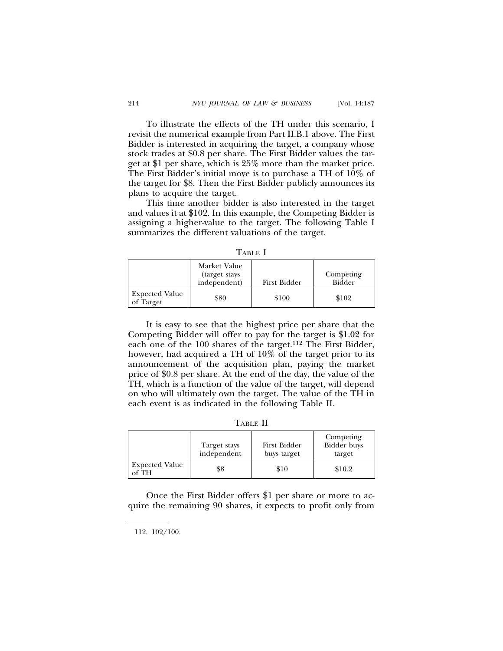To illustrate the effects of the TH under this scenario, I revisit the numerical example from Part II.B.1 above. The First Bidder is interested in acquiring the target, a company whose stock trades at \$0.8 per share. The First Bidder values the target at \$1 per share, which is 25% more than the market price. The First Bidder's initial move is to purchase a TH of 10% of the target for \$8. Then the First Bidder publicly announces its plans to acquire the target.

This time another bidder is also interested in the target and values it at \$102. In this example, the Competing Bidder is assigning a higher-value to the target. The following Table I summarizes the different valuations of the target.

TABLE I

|                                    | Market Value<br>(target stays)<br>independent) | First Bidder | Competing<br>Bidder |
|------------------------------------|------------------------------------------------|--------------|---------------------|
| <b>Expected Value</b><br>of Target | \$80                                           | \$100        | \$102               |

It is easy to see that the highest price per share that the Competing Bidder will offer to pay for the target is \$1.02 for each one of the 100 shares of the target.112 The First Bidder, however, had acquired a TH of 10% of the target prior to its announcement of the acquisition plan, paying the market price of \$0.8 per share. At the end of the day, the value of the TH, which is a function of the value of the target, will depend on who will ultimately own the target. The value of the TH in each event is as indicated in the following Table II.

TABLE II

|                                | Target stays<br>independent | First Bidder<br>buys target | Competing<br>Bidder buys<br>target |
|--------------------------------|-----------------------------|-----------------------------|------------------------------------|
| <b>Expected Value</b><br>of TH | \$8                         | \$10                        | \$10.2                             |

Once the First Bidder offers \$1 per share or more to acquire the remaining 90 shares, it expects to profit only from

112. 102/100.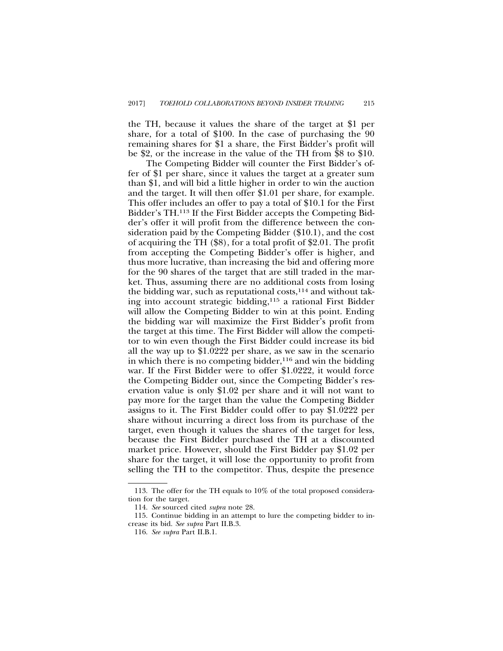the TH, because it values the share of the target at \$1 per share, for a total of \$100. In the case of purchasing the 90 remaining shares for \$1 a share, the First Bidder's profit will be \$2, or the increase in the value of the TH from \$8 to \$10.

The Competing Bidder will counter the First Bidder's offer of \$1 per share, since it values the target at a greater sum than \$1, and will bid a little higher in order to win the auction and the target. It will then offer \$1.01 per share, for example. This offer includes an offer to pay a total of \$10.1 for the First Bidder's TH.113 If the First Bidder accepts the Competing Bidder's offer it will profit from the difference between the consideration paid by the Competing Bidder (\$10.1), and the cost of acquiring the TH (\$8), for a total profit of \$2.01. The profit from accepting the Competing Bidder's offer is higher, and thus more lucrative, than increasing the bid and offering more for the 90 shares of the target that are still traded in the market. Thus, assuming there are no additional costs from losing the bidding war, such as reputational costs,  $114$  and without taking into account strategic bidding,115 a rational First Bidder will allow the Competing Bidder to win at this point. Ending the bidding war will maximize the First Bidder's profit from the target at this time. The First Bidder will allow the competitor to win even though the First Bidder could increase its bid all the way up to \$1.0222 per share, as we saw in the scenario in which there is no competing bidder, $116$  and win the bidding war. If the First Bidder were to offer \$1.0222, it would force the Competing Bidder out, since the Competing Bidder's reservation value is only \$1.02 per share and it will not want to pay more for the target than the value the Competing Bidder assigns to it. The First Bidder could offer to pay \$1.0222 per share without incurring a direct loss from its purchase of the target, even though it values the shares of the target for less, because the First Bidder purchased the TH at a discounted market price. However, should the First Bidder pay \$1.02 per share for the target, it will lose the opportunity to profit from selling the TH to the competitor. Thus, despite the presence

<sup>113.</sup> The offer for the TH equals to 10% of the total proposed consideration for the target.

<sup>114.</sup> *See* sourced cited *supra* note 28.

<sup>115.</sup> Continue bidding in an attempt to lure the competing bidder to increase its bid. *See supra* Part II.B.3.

<sup>116.</sup> *See supra* Part II.B.1.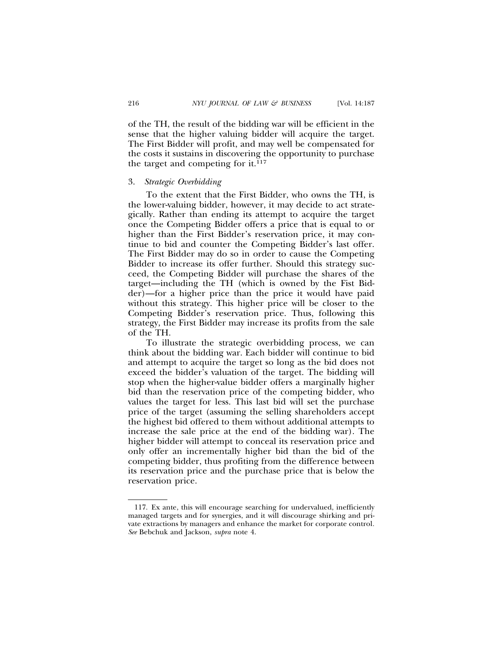of the TH, the result of the bidding war will be efficient in the sense that the higher valuing bidder will acquire the target. The First Bidder will profit, and may well be compensated for the costs it sustains in discovering the opportunity to purchase the target and competing for it. $117$ 

### 3. *Strategic Overbidding*

To the extent that the First Bidder, who owns the TH, is the lower-valuing bidder, however, it may decide to act strategically. Rather than ending its attempt to acquire the target once the Competing Bidder offers a price that is equal to or higher than the First Bidder's reservation price, it may continue to bid and counter the Competing Bidder's last offer. The First Bidder may do so in order to cause the Competing Bidder to increase its offer further. Should this strategy succeed, the Competing Bidder will purchase the shares of the target—including the TH (which is owned by the Fist Bidder)—for a higher price than the price it would have paid without this strategy. This higher price will be closer to the Competing Bidder's reservation price. Thus, following this strategy, the First Bidder may increase its profits from the sale of the TH.

To illustrate the strategic overbidding process, we can think about the bidding war. Each bidder will continue to bid and attempt to acquire the target so long as the bid does not exceed the bidder's valuation of the target. The bidding will stop when the higher-value bidder offers a marginally higher bid than the reservation price of the competing bidder, who values the target for less. This last bid will set the purchase price of the target (assuming the selling shareholders accept the highest bid offered to them without additional attempts to increase the sale price at the end of the bidding war). The higher bidder will attempt to conceal its reservation price and only offer an incrementally higher bid than the bid of the competing bidder, thus profiting from the difference between its reservation price and the purchase price that is below the reservation price.

<sup>117.</sup> Ex ante, this will encourage searching for undervalued, inefficiently managed targets and for synergies, and it will discourage shirking and private extractions by managers and enhance the market for corporate control*. See* Bebchuk and Jackson, *supra* note 4.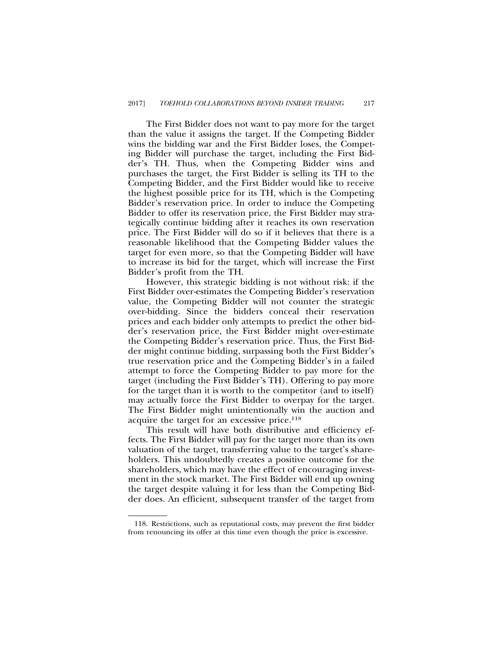The First Bidder does not want to pay more for the target than the value it assigns the target. If the Competing Bidder wins the bidding war and the First Bidder loses, the Competing Bidder will purchase the target, including the First Bidder's TH. Thus, when the Competing Bidder wins and purchases the target, the First Bidder is selling its TH to the Competing Bidder, and the First Bidder would like to receive the highest possible price for its TH, which is the Competing Bidder's reservation price. In order to induce the Competing Bidder to offer its reservation price, the First Bidder may strategically continue bidding after it reaches its own reservation price. The First Bidder will do so if it believes that there is a reasonable likelihood that the Competing Bidder values the target for even more, so that the Competing Bidder will have to increase its bid for the target, which will increase the First Bidder's profit from the TH.

However, this strategic bidding is not without risk: if the First Bidder over-estimates the Competing Bidder's reservation value, the Competing Bidder will not counter the strategic over-bidding. Since the bidders conceal their reservation prices and each bidder only attempts to predict the other bidder's reservation price, the First Bidder might over-estimate the Competing Bidder's reservation price. Thus, the First Bidder might continue bidding, surpassing both the First Bidder's true reservation price and the Competing Bidder's in a failed attempt to force the Competing Bidder to pay more for the target (including the First Bidder's TH). Offering to pay more for the target than it is worth to the competitor (and to itself) may actually force the First Bidder to overpay for the target. The First Bidder might unintentionally win the auction and acquire the target for an excessive price.118

This result will have both distributive and efficiency effects. The First Bidder will pay for the target more than its own valuation of the target, transferring value to the target's shareholders. This undoubtedly creates a positive outcome for the shareholders, which may have the effect of encouraging investment in the stock market. The First Bidder will end up owning the target despite valuing it for less than the Competing Bidder does. An efficient, subsequent transfer of the target from

<sup>118.</sup> Restrictions, such as reputational costs, may prevent the first bidder from renouncing its offer at this time even though the price is excessive.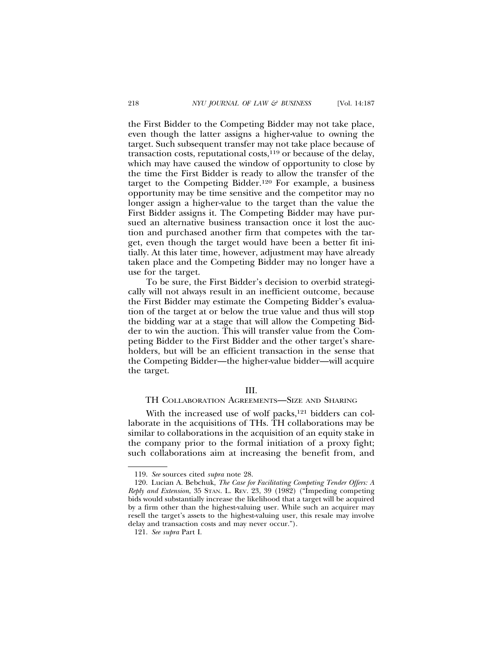the First Bidder to the Competing Bidder may not take place, even though the latter assigns a higher-value to owning the target. Such subsequent transfer may not take place because of transaction costs, reputational costs, $119$  or because of the delay, which may have caused the window of opportunity to close by the time the First Bidder is ready to allow the transfer of the target to the Competing Bidder.120 For example, a business opportunity may be time sensitive and the competitor may no longer assign a higher-value to the target than the value the First Bidder assigns it. The Competing Bidder may have pursued an alternative business transaction once it lost the auction and purchased another firm that competes with the target, even though the target would have been a better fit initially. At this later time, however, adjustment may have already taken place and the Competing Bidder may no longer have a use for the target.

To be sure, the First Bidder's decision to overbid strategically will not always result in an inefficient outcome, because the First Bidder may estimate the Competing Bidder's evaluation of the target at or below the true value and thus will stop the bidding war at a stage that will allow the Competing Bidder to win the auction. This will transfer value from the Competing Bidder to the First Bidder and the other target's shareholders, but will be an efficient transaction in the sense that the Competing Bidder—the higher-value bidder—will acquire the target.

#### III.

# TH COLLABORATION AGREEMENTS—SIZE AND SHARING

With the increased use of wolf packs,<sup>121</sup> bidders can collaborate in the acquisitions of THs. TH collaborations may be similar to collaborations in the acquisition of an equity stake in the company prior to the formal initiation of a proxy fight; such collaborations aim at increasing the benefit from, and

<sup>119.</sup> *See* sources cited *supra* note 28.

<sup>120.</sup> Lucian A. Bebchuk, *The Case for Facilitating Competing Tender Offers: A Reply and Extension*, 35 STAN. L. REV. 23, 39 (1982) ("Impeding competing bids would substantially increase the likelihood that a target will be acquired by a firm other than the highest-valuing user. While such an acquirer may resell the target's assets to the highest-valuing user, this resale may involve delay and transaction costs and may never occur.").

<sup>121.</sup> *See supra* Part I.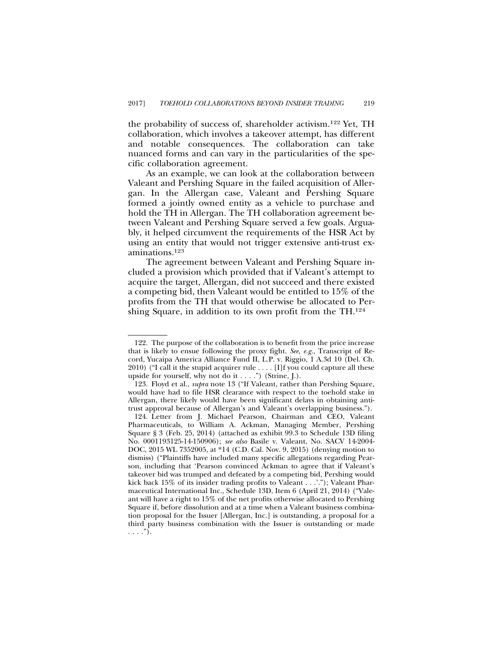the probability of success of, shareholder activism.122 Yet, TH collaboration, which involves a takeover attempt, has different and notable consequences. The collaboration can take nuanced forms and can vary in the particularities of the specific collaboration agreement.

As an example, we can look at the collaboration between Valeant and Pershing Square in the failed acquisition of Allergan. In the Allergan case, Valeant and Pershing Square formed a jointly owned entity as a vehicle to purchase and hold the TH in Allergan. The TH collaboration agreement between Valeant and Pershing Square served a few goals. Arguably, it helped circumvent the requirements of the HSR Act by using an entity that would not trigger extensive anti-trust examinations.123

The agreement between Valeant and Pershing Square included a provision which provided that if Valeant's attempt to acquire the target, Allergan, did not succeed and there existed a competing bid, then Valeant would be entitled to 15% of the profits from the TH that would otherwise be allocated to Pershing Square, in addition to its own profit from the TH.124

<sup>122.</sup> The purpose of the collaboration is to benefit from the price increase that is likely to ensue following the proxy fight. *See, e.g.*, Transcript of Record, Yucaipa America Alliance Fund II, L.P. v. Riggio, 1 A.3d 10 (Del. Ch. 2010) ("I call it the stupid acquirer rule . . . . [I]f you could capture all these upside for yourself, why not do it . . . .") (Strine, J.).

<sup>123.</sup> Floyd et al., *supra* note 13 ("If Valeant, rather than Pershing Square, would have had to file HSR clearance with respect to the toehold stake in Allergan, there likely would have been significant delays in obtaining antitrust approval because of Allergan's and Valeant's overlapping business.").

<sup>124.</sup> Letter from J. Michael Pearson, Chairman and CEO, Valeant Pharmaceuticals, to William A. Ackman, Managing Member, Pershing Square § 3 (Feb. 25, 2014) (attached as exhibit 99.3 to Schedule 13D filing No. 0001193125-14-150906); *see also* Basile v. Valeant, No. SACV 14-2004- DOC, 2015 WL 7352005, at \*14 (C.D. Cal. Nov. 9, 2015) (denying motion to dismiss) ("Plaintiffs have included many specific allegations regarding Pearson, including that 'Pearson convinced Ackman to agree that if Valeant's takeover bid was trumped and defeated by a competing bid, Pershing would kick back 15% of its insider trading profits to Valeant . . .'."); Valeant Pharmaceutical International Inc., Schedule 13D, Item 6 (April 21, 2014) ("Valeant will have a right to 15% of the net profits otherwise allocated to Pershing Square if, before dissolution and at a time when a Valeant business combination proposal for the Issuer [Allergan, Inc.] is outstanding, a proposal for a third party business combination with the Issuer is outstanding or made  $\ldots$ .").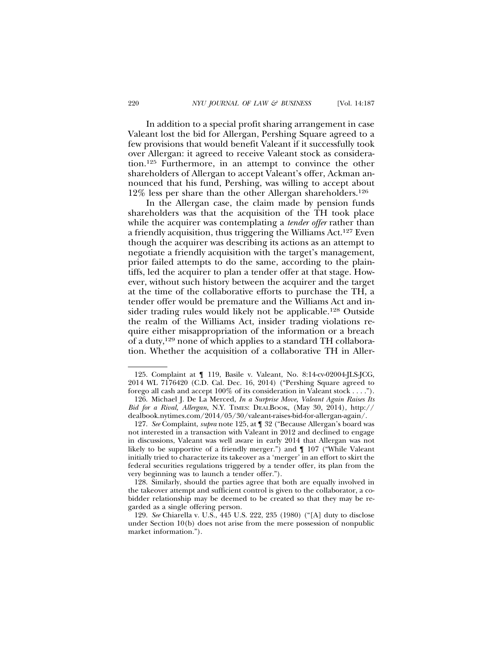In addition to a special profit sharing arrangement in case Valeant lost the bid for Allergan, Pershing Square agreed to a few provisions that would benefit Valeant if it successfully took over Allergan: it agreed to receive Valeant stock as consideration.125 Furthermore, in an attempt to convince the other shareholders of Allergan to accept Valeant's offer, Ackman announced that his fund, Pershing, was willing to accept about 12% less per share than the other Allergan shareholders.126

In the Allergan case, the claim made by pension funds shareholders was that the acquisition of the TH took place while the acquirer was contemplating a *tender offer* rather than a friendly acquisition, thus triggering the Williams Act.127 Even though the acquirer was describing its actions as an attempt to negotiate a friendly acquisition with the target's management, prior failed attempts to do the same, according to the plaintiffs, led the acquirer to plan a tender offer at that stage. However, without such history between the acquirer and the target at the time of the collaborative efforts to purchase the TH, a tender offer would be premature and the Williams Act and insider trading rules would likely not be applicable.128 Outside the realm of the Williams Act, insider trading violations require either misappropriation of the information or a breach of a duty,129 none of which applies to a standard TH collaboration. Whether the acquisition of a collaborative TH in Aller-

<sup>125.</sup> Complaint at ¶ 119, Basile v. Valeant, No. 8:14-cv-02004-JLS-JCG, 2014 WL 7176420 (C.D. Cal. Dec. 16, 2014) ("Pershing Square agreed to forego all cash and accept 100% of its consideration in Valeant stock . . . .").

<sup>126.</sup> Michael J. De La Merced, *In a Surprise Move, Valeant Again Raises Its Bid for a Rival, Allergan*, N.Y. TIMES: DEALBOOK, (May 30, 2014), http:// dealbook.nytimes.com/2014/05/30/valeant-raises-bid-for-allergan-again/.

<sup>127.</sup> *See* Complaint, *supra* note 125, at ¶ 32 ("Because Allergan's board was not interested in a transaction with Valeant in 2012 and declined to engage in discussions, Valeant was well aware in early 2014 that Allergan was not likely to be supportive of a friendly merger.") and ¶ 107 ("While Valeant initially tried to characterize its takeover as a 'merger' in an effort to skirt the federal securities regulations triggered by a tender offer, its plan from the very beginning was to launch a tender offer.").

<sup>128.</sup> Similarly, should the parties agree that both are equally involved in the takeover attempt and sufficient control is given to the collaborator, a cobidder relationship may be deemed to be created so that they may be regarded as a single offering person.

<sup>129.</sup> *See* Chiarella v. U.S., 445 U.S. 222, 235 (1980) ("[A] duty to disclose under Section  $10(b)$  does not arise from the mere possession of nonpublic market information.").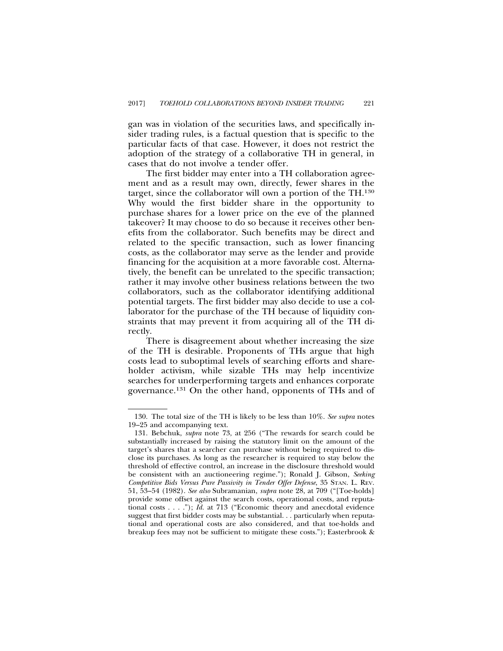gan was in violation of the securities laws, and specifically insider trading rules, is a factual question that is specific to the particular facts of that case. However, it does not restrict the adoption of the strategy of a collaborative TH in general, in cases that do not involve a tender offer.

The first bidder may enter into a TH collaboration agreement and as a result may own, directly, fewer shares in the target, since the collaborator will own a portion of the TH.130 Why would the first bidder share in the opportunity to purchase shares for a lower price on the eve of the planned takeover? It may choose to do so because it receives other benefits from the collaborator. Such benefits may be direct and related to the specific transaction, such as lower financing costs, as the collaborator may serve as the lender and provide financing for the acquisition at a more favorable cost. Alternatively, the benefit can be unrelated to the specific transaction; rather it may involve other business relations between the two collaborators, such as the collaborator identifying additional potential targets. The first bidder may also decide to use a collaborator for the purchase of the TH because of liquidity constraints that may prevent it from acquiring all of the TH directly.

There is disagreement about whether increasing the size of the TH is desirable. Proponents of THs argue that high costs lead to suboptimal levels of searching efforts and shareholder activism, while sizable THs may help incentivize searches for underperforming targets and enhances corporate governance.131 On the other hand, opponents of THs and of

<sup>130.</sup> The total size of the TH is likely to be less than 10%. *See supra* notes 19–25 and accompanying text.

<sup>131.</sup> Bebchuk, *supra* note 73, at 256 ("The rewards for search could be substantially increased by raising the statutory limit on the amount of the target's shares that a searcher can purchase without being required to disclose its purchases. As long as the researcher is required to stay below the threshold of effective control, an increase in the disclosure threshold would be consistent with an auctioneering regime."); Ronald J. Gibson, *Seeking Competitive Bids Versus Pure Passivity in Tender Offer Defense*, 35 STAN. L. REV. 51, 53–54 (1982). *See also* Subramanian, *supra* note 28, at 709 ("[Toe-holds] provide some offset against the search costs, operational costs, and reputational costs . . . ."); *Id.* at 713 ("Economic theory and anecdotal evidence suggest that first bidder costs may be substantial. . . particularly when reputational and operational costs are also considered, and that toe-holds and breakup fees may not be sufficient to mitigate these costs."); Easterbrook &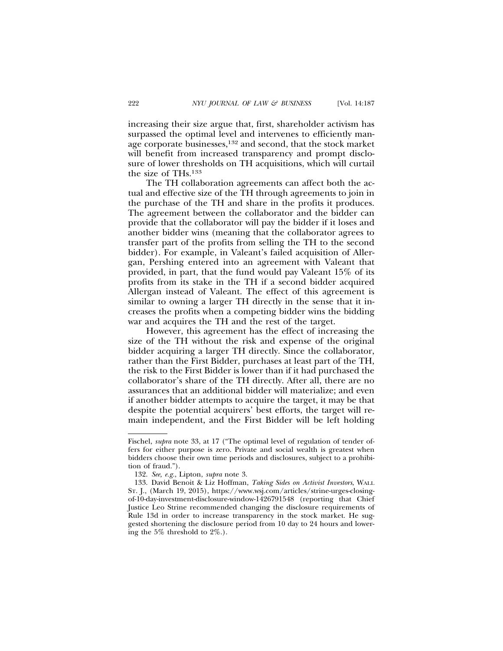increasing their size argue that, first, shareholder activism has surpassed the optimal level and intervenes to efficiently manage corporate businesses,132 and second, that the stock market will benefit from increased transparency and prompt disclosure of lower thresholds on TH acquisitions, which will curtail the size of THs.133

The TH collaboration agreements can affect both the actual and effective size of the TH through agreements to join in the purchase of the TH and share in the profits it produces. The agreement between the collaborator and the bidder can provide that the collaborator will pay the bidder if it loses and another bidder wins (meaning that the collaborator agrees to transfer part of the profits from selling the TH to the second bidder). For example, in Valeant's failed acquisition of Allergan, Pershing entered into an agreement with Valeant that provided, in part, that the fund would pay Valeant 15% of its profits from its stake in the TH if a second bidder acquired Allergan instead of Valeant. The effect of this agreement is similar to owning a larger TH directly in the sense that it increases the profits when a competing bidder wins the bidding war and acquires the TH and the rest of the target.

However, this agreement has the effect of increasing the size of the TH without the risk and expense of the original bidder acquiring a larger TH directly. Since the collaborator, rather than the First Bidder, purchases at least part of the TH, the risk to the First Bidder is lower than if it had purchased the collaborator's share of the TH directly. After all, there are no assurances that an additional bidder will materialize; and even if another bidder attempts to acquire the target, it may be that despite the potential acquirers' best efforts, the target will remain independent, and the First Bidder will be left holding

Fischel, *supra* note 33, at 17 ("The optimal level of regulation of tender offers for either purpose is zero. Private and social wealth is greatest when bidders choose their own time periods and disclosures, subject to a prohibition of fraud.").

<sup>132.</sup> *See, e.g.*, Lipton, *supra* note 3.

<sup>133.</sup> David Benoit & Liz Hoffman, *Taking Sides on Activist Investors*, WALL ST. J., (March 19, 2015), https://www.wsj.com/articles/strine-urges-closingof-10-day-investment-disclosure-window-1426791548 (reporting that Chief Justice Leo Strine recommended changing the disclosure requirements of Rule 13d in order to increase transparency in the stock market. He suggested shortening the disclosure period from 10 day to 24 hours and lowering the 5% threshold to 2%.).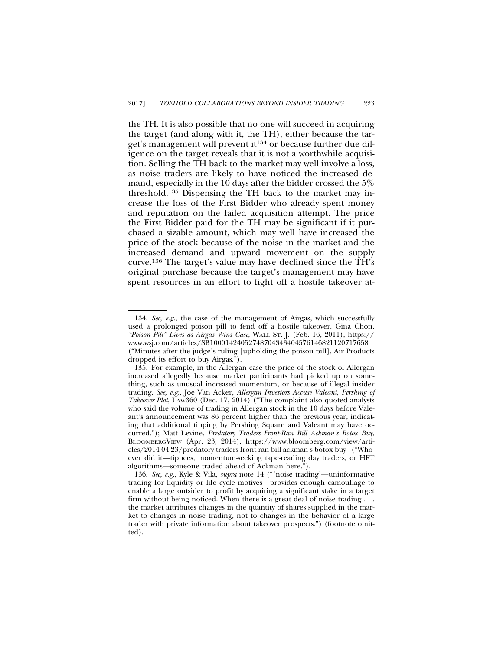the TH. It is also possible that no one will succeed in acquiring the target (and along with it, the TH), either because the target's management will prevent it<sup>134</sup> or because further due diligence on the target reveals that it is not a worthwhile acquisition. Selling the TH back to the market may well involve a loss, as noise traders are likely to have noticed the increased demand, especially in the 10 days after the bidder crossed the 5% threshold.135 Dispensing the TH back to the market may increase the loss of the First Bidder who already spent money and reputation on the failed acquisition attempt. The price the First Bidder paid for the TH may be significant if it purchased a sizable amount, which may well have increased the price of the stock because of the noise in the market and the increased demand and upward movement on the supply curve.136 The target's value may have declined since the TH's original purchase because the target's management may have spent resources in an effort to fight off a hostile takeover at-

<sup>134.</sup> *See, e.g.*, the case of the management of Airgas, which successfully used a prolonged poison pill to fend off a hostile takeover. Gina Chon, *"Poison Pill" Lives as Airgas Wins Case*, WALL ST. J. (Feb. 16, 2011), https:// www.wsj.com/articles/SB10001424052748704343404576146821120717658 ("Minutes after the judge's ruling [upholding the poison pill], Air Products dropped its effort to buy Airgas.").

<sup>135.</sup> For example, in the Allergan case the price of the stock of Allergan increased allegedly because market participants had picked up on something, such as unusual increased momentum, or because of illegal insider trading. *See, e.g.*, Joe Van Acker, *Allergan Investors Accuse Valeant, Pershing of Takeover Plot*, LAW360 (Dec. 17, 2014) ("The complaint also quoted analysts who said the volume of trading in Allergan stock in the 10 days before Valeant's announcement was 86 percent higher than the previous year, indicating that additional tipping by Pershing Square and Valeant may have occurred."); Matt Levine, *Predatory Traders Front-Ran Bill Ackman's Botox Buy*, BLOOMBERGVIEW (Apr. 23, 2014), https://www.bloomberg.com/view/articles/2014-04-23/predatory-traders-front-ran-bill-ackman-s-botox-buy ("Whoever did it—tippees, momentum-seeking tape-reading day traders, or HFT algorithms—someone traded ahead of Ackman here.").

<sup>136.</sup> *See, e.g.*, Kyle & Vila, *supra* note 14 ("'noise trading'—uninformative trading for liquidity or life cycle motives—provides enough camouflage to enable a large outsider to profit by acquiring a significant stake in a target firm without being noticed. When there is a great deal of noise trading . . . the market attributes changes in the quantity of shares supplied in the market to changes in noise trading, not to changes in the behavior of a large trader with private information about takeover prospects.") (footnote omitted).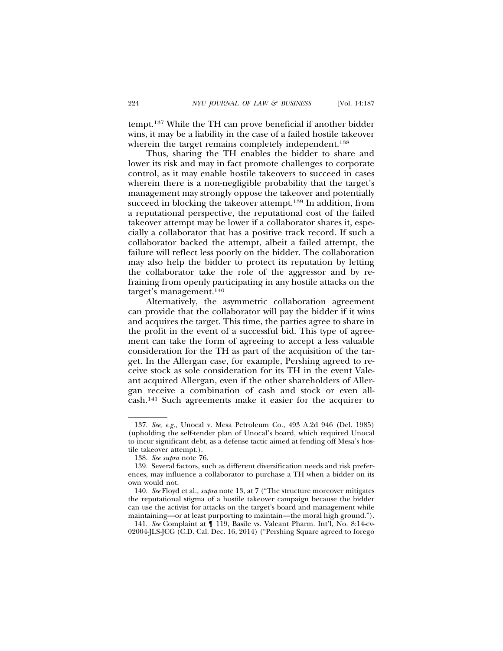tempt.137 While the TH can prove beneficial if another bidder wins, it may be a liability in the case of a failed hostile takeover wherein the target remains completely independent.<sup>138</sup>

Thus, sharing the TH enables the bidder to share and lower its risk and may in fact promote challenges to corporate control, as it may enable hostile takeovers to succeed in cases wherein there is a non-negligible probability that the target's management may strongly oppose the takeover and potentially succeed in blocking the takeover attempt.<sup>139</sup> In addition, from a reputational perspective, the reputational cost of the failed takeover attempt may be lower if a collaborator shares it, especially a collaborator that has a positive track record. If such a collaborator backed the attempt, albeit a failed attempt, the failure will reflect less poorly on the bidder. The collaboration may also help the bidder to protect its reputation by letting the collaborator take the role of the aggressor and by refraining from openly participating in any hostile attacks on the target's management.140

Alternatively, the asymmetric collaboration agreement can provide that the collaborator will pay the bidder if it wins and acquires the target. This time, the parties agree to share in the profit in the event of a successful bid. This type of agreement can take the form of agreeing to accept a less valuable consideration for the TH as part of the acquisition of the target. In the Allergan case, for example, Pershing agreed to receive stock as sole consideration for its TH in the event Valeant acquired Allergan, even if the other shareholders of Allergan receive a combination of cash and stock or even allcash.141 Such agreements make it easier for the acquirer to

141. *See* Complaint at ¶ 119, Basile vs. Valeant Pharm. Int'l, No. 8:14-cv-02004-JLS-JCG (C.D. Cal. Dec. 16, 2014) ("Pershing Square agreed to forego

<sup>137.</sup> *See, e.g.,* Unocal v. Mesa Petroleum Co., 493 A.2d 946 (Del. 1985) (upholding the self-tender plan of Unocal's board, which required Unocal to incur significant debt, as a defense tactic aimed at fending off Mesa's hostile takeover attempt.).

<sup>138.</sup> *See supra* note 76.

<sup>139.</sup> Several factors, such as different diversification needs and risk preferences, may influence a collaborator to purchase a TH when a bidder on its own would not.

<sup>140.</sup> *See* Floyd et al., *supra* note 13, at 7 ("The structure moreover mitigates the reputational stigma of a hostile takeover campaign because the bidder can use the activist for attacks on the target's board and management while maintaining—or at least purporting to maintain—the moral high ground.").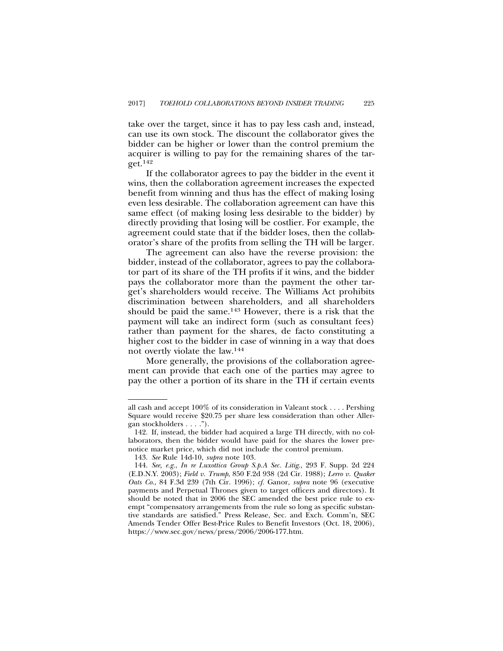take over the target, since it has to pay less cash and, instead, can use its own stock. The discount the collaborator gives the bidder can be higher or lower than the control premium the acquirer is willing to pay for the remaining shares of the target.142

If the collaborator agrees to pay the bidder in the event it wins, then the collaboration agreement increases the expected benefit from winning and thus has the effect of making losing even less desirable. The collaboration agreement can have this same effect (of making losing less desirable to the bidder) by directly providing that losing will be costlier. For example, the agreement could state that if the bidder loses, then the collaborator's share of the profits from selling the TH will be larger.

The agreement can also have the reverse provision: the bidder, instead of the collaborator, agrees to pay the collaborator part of its share of the TH profits if it wins, and the bidder pays the collaborator more than the payment the other target's shareholders would receive. The Williams Act prohibits discrimination between shareholders, and all shareholders should be paid the same.143 However, there is a risk that the payment will take an indirect form (such as consultant fees) rather than payment for the shares, de facto constituting a higher cost to the bidder in case of winning in a way that does not overtly violate the law.144

More generally, the provisions of the collaboration agreement can provide that each one of the parties may agree to pay the other a portion of its share in the TH if certain events

all cash and accept 100% of its consideration in Valeant stock . . . . Pershing Square would receive \$20.75 per share less consideration than other Allergan stockholders . . . .").

<sup>142.</sup> If, instead, the bidder had acquired a large TH directly, with no collaborators, then the bidder would have paid for the shares the lower prenotice market price, which did not include the control premium.

<sup>143.</sup> *See* Rule 14d-10, *supra* note 103.

<sup>144.</sup> *See, e.g.*, *In re Luxottica Group S.p.A Sec. Litig*., 293 F. Supp. 2d 224 (E.D.N.Y. 2003); *Field v. Trump*, 850 F.2d 938 (2d Cir. 1988); *Lerro v. Quaker Oats Co*., 84 F.3d 239 (7th Cir. 1996); *cf.* Ganor, *supra* note 96 (executive payments and Perpetual Thrones given to target officers and directors). It should be noted that in 2006 the SEC amended the best price rule to exempt "compensatory arrangements from the rule so long as specific substantive standards are satisfied." Press Release, Sec. and Exch. Comm'n, SEC Amends Tender Offer Best-Price Rules to Benefit Investors (Oct. 18, 2006), https://www.sec.gov/news/press/2006/2006-177.htm.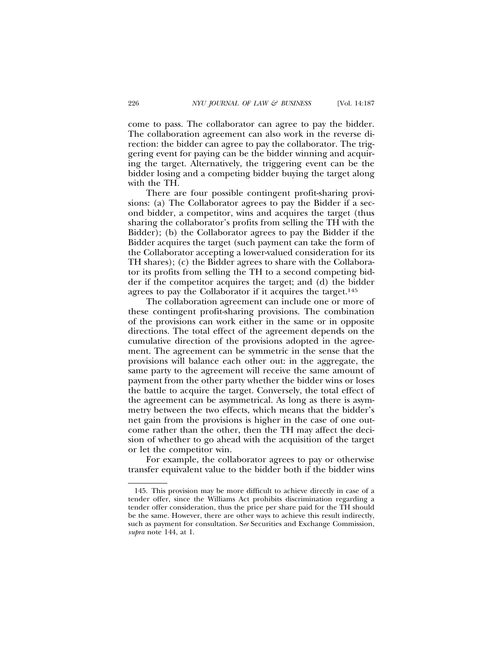come to pass. The collaborator can agree to pay the bidder. The collaboration agreement can also work in the reverse direction: the bidder can agree to pay the collaborator. The triggering event for paying can be the bidder winning and acquiring the target. Alternatively, the triggering event can be the bidder losing and a competing bidder buying the target along with the TH.

There are four possible contingent profit-sharing provisions: (a) The Collaborator agrees to pay the Bidder if a second bidder, a competitor, wins and acquires the target (thus sharing the collaborator's profits from selling the TH with the Bidder); (b) the Collaborator agrees to pay the Bidder if the Bidder acquires the target (such payment can take the form of the Collaborator accepting a lower-valued consideration for its TH shares); (c) the Bidder agrees to share with the Collaborator its profits from selling the TH to a second competing bidder if the competitor acquires the target; and (d) the bidder agrees to pay the Collaborator if it acquires the target.<sup>145</sup>

The collaboration agreement can include one or more of these contingent profit-sharing provisions. The combination of the provisions can work either in the same or in opposite directions. The total effect of the agreement depends on the cumulative direction of the provisions adopted in the agreement. The agreement can be symmetric in the sense that the provisions will balance each other out: in the aggregate, the same party to the agreement will receive the same amount of payment from the other party whether the bidder wins or loses the battle to acquire the target. Conversely, the total effect of the agreement can be asymmetrical. As long as there is asymmetry between the two effects, which means that the bidder's net gain from the provisions is higher in the case of one outcome rather than the other, then the TH may affect the decision of whether to go ahead with the acquisition of the target or let the competitor win.

For example, the collaborator agrees to pay or otherwise transfer equivalent value to the bidder both if the bidder wins

<sup>145.</sup> This provision may be more difficult to achieve directly in case of a tender offer, since the Williams Act prohibits discrimination regarding a tender offer consideration, thus the price per share paid for the TH should be the same. However, there are other ways to achieve this result indirectly, such as payment for consultation. S*ee* Securities and Exchange Commission, *supra* note 144, at 1.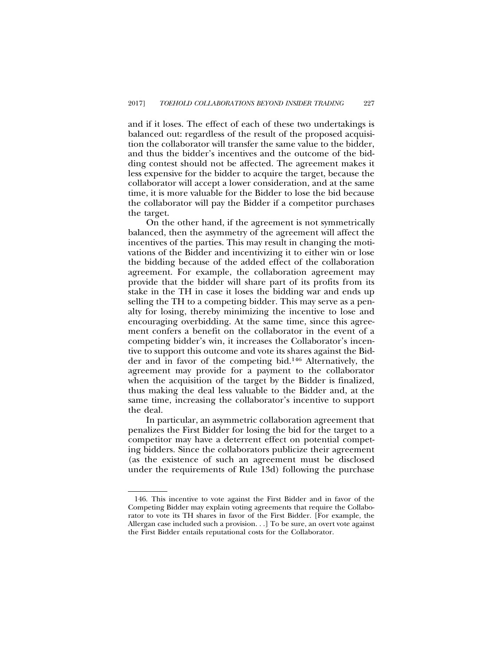and if it loses. The effect of each of these two undertakings is balanced out: regardless of the result of the proposed acquisition the collaborator will transfer the same value to the bidder, and thus the bidder's incentives and the outcome of the bidding contest should not be affected. The agreement makes it less expensive for the bidder to acquire the target, because the collaborator will accept a lower consideration, and at the same time, it is more valuable for the Bidder to lose the bid because the collaborator will pay the Bidder if a competitor purchases the target.

On the other hand, if the agreement is not symmetrically balanced, then the asymmetry of the agreement will affect the incentives of the parties. This may result in changing the motivations of the Bidder and incentivizing it to either win or lose the bidding because of the added effect of the collaboration agreement. For example, the collaboration agreement may provide that the bidder will share part of its profits from its stake in the TH in case it loses the bidding war and ends up selling the TH to a competing bidder. This may serve as a penalty for losing, thereby minimizing the incentive to lose and encouraging overbidding. At the same time, since this agreement confers a benefit on the collaborator in the event of a competing bidder's win, it increases the Collaborator's incentive to support this outcome and vote its shares against the Bidder and in favor of the competing bid.146 Alternatively, the agreement may provide for a payment to the collaborator when the acquisition of the target by the Bidder is finalized, thus making the deal less valuable to the Bidder and, at the same time, increasing the collaborator's incentive to support the deal.

In particular, an asymmetric collaboration agreement that penalizes the First Bidder for losing the bid for the target to a competitor may have a deterrent effect on potential competing bidders. Since the collaborators publicize their agreement (as the existence of such an agreement must be disclosed under the requirements of Rule 13d) following the purchase

<sup>146.</sup> This incentive to vote against the First Bidder and in favor of the Competing Bidder may explain voting agreements that require the Collaborator to vote its TH shares in favor of the First Bidder. [For example, the Allergan case included such a provision. . .] To be sure, an overt vote against the First Bidder entails reputational costs for the Collaborator.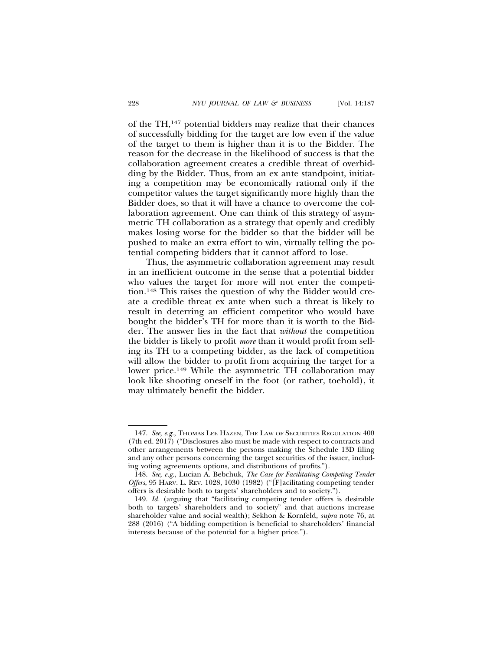of the TH,147 potential bidders may realize that their chances of successfully bidding for the target are low even if the value of the target to them is higher than it is to the Bidder. The reason for the decrease in the likelihood of success is that the collaboration agreement creates a credible threat of overbidding by the Bidder. Thus, from an ex ante standpoint, initiating a competition may be economically rational only if the competitor values the target significantly more highly than the Bidder does, so that it will have a chance to overcome the collaboration agreement. One can think of this strategy of asymmetric TH collaboration as a strategy that openly and credibly makes losing worse for the bidder so that the bidder will be pushed to make an extra effort to win, virtually telling the potential competing bidders that it cannot afford to lose.

Thus, the asymmetric collaboration agreement may result in an inefficient outcome in the sense that a potential bidder who values the target for more will not enter the competition.148 This raises the question of why the Bidder would create a credible threat ex ante when such a threat is likely to result in deterring an efficient competitor who would have bought the bidder's TH for more than it is worth to the Bidder. The answer lies in the fact that *without* the competition the bidder is likely to profit *more* than it would profit from selling its TH to a competing bidder, as the lack of competition will allow the bidder to profit from acquiring the target for a lower price.149 While the asymmetric TH collaboration may look like shooting oneself in the foot (or rather, toehold), it may ultimately benefit the bidder.

<sup>147.</sup> *See, e.g.*, THOMAS LEE HAZEN, THE LAW OF SECURITIES REGULATION 400 (7th ed. 2017) ("Disclosures also must be made with respect to contracts and other arrangements between the persons making the Schedule 13D filing and any other persons concerning the target securities of the issuer, including voting agreements options, and distributions of profits.").

<sup>148.</sup> *See, e.g.*, Lucian A. Bebchuk, *The Case for Facilitating Competing Tender Offers*, 95 HARV. L. REV. 1028, 1030 (1982) ("[F]acilitating competing tender offers is desirable both to targets' shareholders and to society.").

<sup>149.</sup> *Id.* (arguing that "facilitating competing tender offers is desirable both to targets' shareholders and to society" and that auctions increase shareholder value and social wealth); Sekhon & Kornfeld, *supra* note 76, at 288 (2016) ("A bidding competition is beneficial to shareholders' financial interests because of the potential for a higher price.").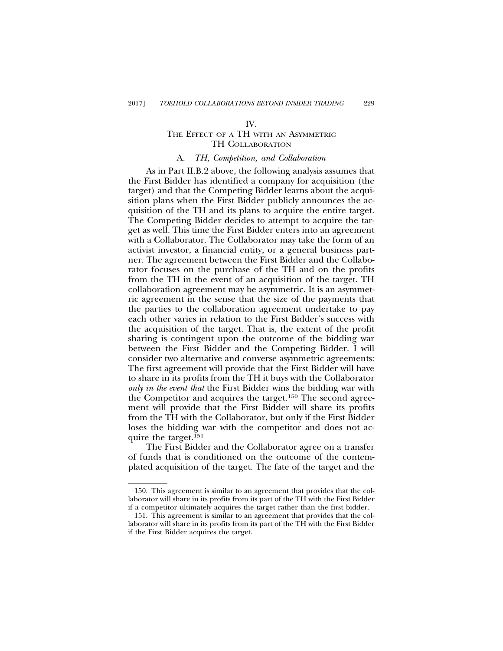#### IV.

# THE EFFECT OF A TH WITH AN ASYMMETRIC TH COLLABORATION

# A. *TH, Competition, and Collaboration*

As in Part II.B.2 above, the following analysis assumes that the First Bidder has identified a company for acquisition (the target) and that the Competing Bidder learns about the acquisition plans when the First Bidder publicly announces the acquisition of the TH and its plans to acquire the entire target. The Competing Bidder decides to attempt to acquire the target as well. This time the First Bidder enters into an agreement with a Collaborator. The Collaborator may take the form of an activist investor, a financial entity, or a general business partner. The agreement between the First Bidder and the Collaborator focuses on the purchase of the TH and on the profits from the TH in the event of an acquisition of the target. TH collaboration agreement may be asymmetric. It is an asymmetric agreement in the sense that the size of the payments that the parties to the collaboration agreement undertake to pay each other varies in relation to the First Bidder's success with the acquisition of the target. That is, the extent of the profit sharing is contingent upon the outcome of the bidding war between the First Bidder and the Competing Bidder. I will consider two alternative and converse asymmetric agreements: The first agreement will provide that the First Bidder will have to share in its profits from the TH it buys with the Collaborator *only in the event that* the First Bidder wins the bidding war with the Competitor and acquires the target.150 The second agreement will provide that the First Bidder will share its profits from the TH with the Collaborator, but only if the First Bidder loses the bidding war with the competitor and does not acquire the target.151

The First Bidder and the Collaborator agree on a transfer of funds that is conditioned on the outcome of the contemplated acquisition of the target. The fate of the target and the

<sup>150.</sup> This agreement is similar to an agreement that provides that the collaborator will share in its profits from its part of the TH with the First Bidder if a competitor ultimately acquires the target rather than the first bidder.

<sup>151.</sup> This agreement is similar to an agreement that provides that the collaborator will share in its profits from its part of the TH with the First Bidder if the First Bidder acquires the target.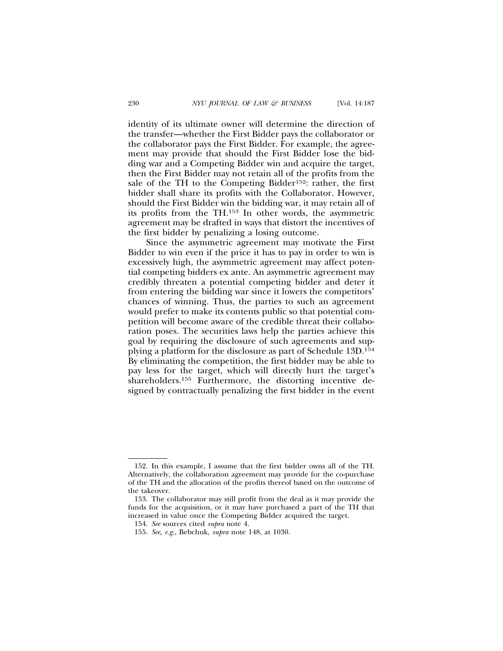identity of its ultimate owner will determine the direction of the transfer—whether the First Bidder pays the collaborator or the collaborator pays the First Bidder. For example, the agreement may provide that should the First Bidder lose the bidding war and a Competing Bidder win and acquire the target, then the First Bidder may not retain all of the profits from the sale of the TH to the Competing Bidder152: rather, the first bidder shall share its profits with the Collaborator. However, should the First Bidder win the bidding war, it may retain all of its profits from the TH.153 In other words, the asymmetric agreement may be drafted in ways that distort the incentives of the first bidder by penalizing a losing outcome.

Since the asymmetric agreement may motivate the First Bidder to win even if the price it has to pay in order to win is excessively high, the asymmetric agreement may affect potential competing bidders ex ante. An asymmetric agreement may credibly threaten a potential competing bidder and deter it from entering the bidding war since it lowers the competitors' chances of winning. Thus, the parties to such an agreement would prefer to make its contents public so that potential competition will become aware of the credible threat their collaboration poses. The securities laws help the parties achieve this goal by requiring the disclosure of such agreements and supplying a platform for the disclosure as part of Schedule 13D.154 By eliminating the competition, the first bidder may be able to pay less for the target, which will directly hurt the target's shareholders.155 Furthermore, the distorting incentive designed by contractually penalizing the first bidder in the event

<sup>152.</sup> In this example, I assume that the first bidder owns all of the TH. Alternatively, the collaboration agreement may provide for the co-purchase of the TH and the allocation of the profits thereof based on the outcome of the takeover.

<sup>153.</sup> The collaborator may still profit from the deal as it may provide the funds for the acquisition, or it may have purchased a part of the TH that increased in value once the Competing Bidder acquired the target.

<sup>154.</sup> *See* sources cited *supra* note 4.

<sup>155.</sup> *See, e.g.*, Bebchuk, *supra* note 148, at 1030.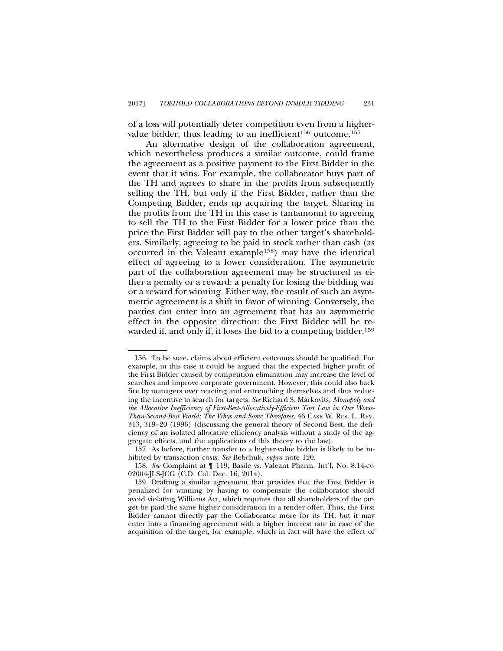of a loss will potentially deter competition even from a highervalue bidder, thus leading to an inefficient<sup>156</sup> outcome.<sup>157</sup>

An alternative design of the collaboration agreement, which nevertheless produces a similar outcome, could frame the agreement as a positive payment to the First Bidder in the event that it wins. For example, the collaborator buys part of the TH and agrees to share in the profits from subsequently selling the TH, but only if the First Bidder, rather than the Competing Bidder, ends up acquiring the target. Sharing in the profits from the TH in this case is tantamount to agreeing to sell the TH to the First Bidder for a lower price than the price the First Bidder will pay to the other target's shareholders. Similarly, agreeing to be paid in stock rather than cash (as occurred in the Valeant example158) may have the identical effect of agreeing to a lower consideration. The asymmetric part of the collaboration agreement may be structured as either a penalty or a reward: a penalty for losing the bidding war or a reward for winning. Either way, the result of such an asymmetric agreement is a shift in favor of winning. Conversely, the parties can enter into an agreement that has an asymmetric effect in the opposite direction: the First Bidder will be rewarded if, and only if, it loses the bid to a competing bidder.<sup>159</sup>

<sup>156.</sup> To be sure, claims about efficient outcomes should be qualified. For example, in this case it could be argued that the expected higher profit of the First Bidder caused by competition elimination may increase the level of searches and improve corporate government. However, this could also back fire by managers over reacting and entrenching themselves and thus reducing the incentive to search for targets. *See* Richard S. Markovits, *Monopoly and the Allocative Inefficiency of First-Best-Allocatively-Efficient Tort Law in Our Worse-Than-Second-Best World: The Whys and Some Therefores*, 46 CASE W. RES. L. REV. 313, 319–20 (1996) (discussing the general theory of Second Best, the deficiency of an isolated allocative efficiency analysis without a study of the aggregate effects, and the applications of this theory to the law).

<sup>157.</sup> As before, further transfer to a higher-value bidder is likely to be inhibited by transaction costs. *See* Bebchuk, *supra* note 120.

<sup>158.</sup> *See* Complaint at ¶ 119, Basile vs. Valeant Pharm. Int'l, No. 8:14-cv-02004-JLS-JCG (C.D. Cal. Dec. 16, 2014).

<sup>159.</sup> Drafting a similar agreement that provides that the First Bidder is penalized for winning by having to compensate the collaborator should avoid violating Williams Act, which requires that all shareholders of the target be paid the same higher consideration in a tender offer. Thus, the First Bidder cannot directly pay the Collaborator more for its TH, but it may enter into a financing agreement with a higher interest rate in case of the acquisition of the target, for example, which in fact will have the effect of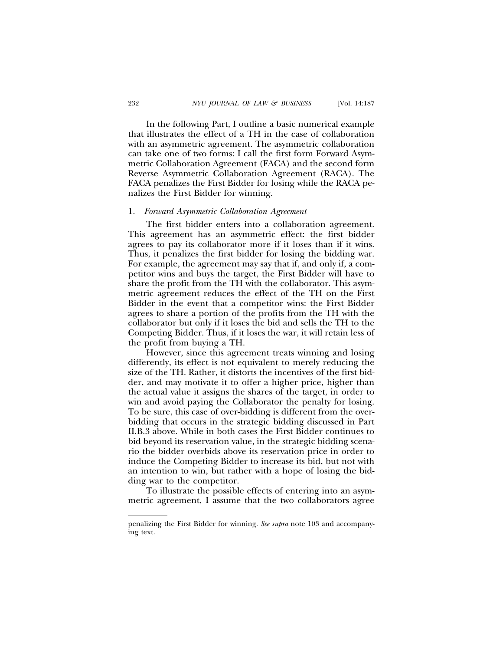In the following Part, I outline a basic numerical example that illustrates the effect of a TH in the case of collaboration with an asymmetric agreement. The asymmetric collaboration can take one of two forms: I call the first form Forward Asymmetric Collaboration Agreement (FACA) and the second form Reverse Asymmetric Collaboration Agreement (RACA). The FACA penalizes the First Bidder for losing while the RACA penalizes the First Bidder for winning.

#### 1. *Forward Asymmetric Collaboration Agreement*

The first bidder enters into a collaboration agreement. This agreement has an asymmetric effect: the first bidder agrees to pay its collaborator more if it loses than if it wins. Thus, it penalizes the first bidder for losing the bidding war. For example, the agreement may say that if, and only if, a competitor wins and buys the target, the First Bidder will have to share the profit from the TH with the collaborator. This asymmetric agreement reduces the effect of the TH on the First Bidder in the event that a competitor wins: the First Bidder agrees to share a portion of the profits from the TH with the collaborator but only if it loses the bid and sells the TH to the Competing Bidder. Thus, if it loses the war, it will retain less of the profit from buying a TH.

However, since this agreement treats winning and losing differently, its effect is not equivalent to merely reducing the size of the TH. Rather, it distorts the incentives of the first bidder, and may motivate it to offer a higher price, higher than the actual value it assigns the shares of the target, in order to win and avoid paying the Collaborator the penalty for losing. To be sure, this case of over-bidding is different from the overbidding that occurs in the strategic bidding discussed in Part II.B.3 above. While in both cases the First Bidder continues to bid beyond its reservation value, in the strategic bidding scenario the bidder overbids above its reservation price in order to induce the Competing Bidder to increase its bid, but not with an intention to win, but rather with a hope of losing the bidding war to the competitor.

To illustrate the possible effects of entering into an asymmetric agreement, I assume that the two collaborators agree

penalizing the First Bidder for winning. *See supra* note 103 and accompanying text.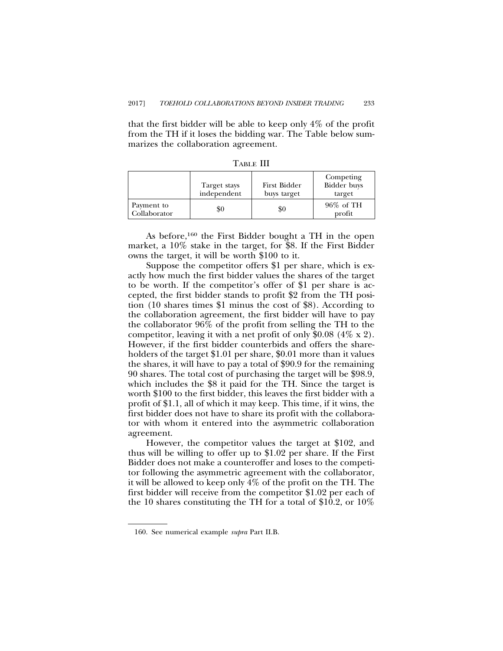that the first bidder will be able to keep only 4% of the profit from the TH if it loses the bidding war. The Table below summarizes the collaboration agreement.

|                            | Target stays<br>independent | First Bidder<br>buys target | Competing<br>Bidder buys<br>target |
|----------------------------|-----------------------------|-----------------------------|------------------------------------|
| Payment to<br>Collaborator | \$0                         | \$0                         | 96% of TH<br>profit                |

TABLE III

As before,160 the First Bidder bought a TH in the open market, a 10% stake in the target, for \$8. If the First Bidder owns the target, it will be worth \$100 to it.

Suppose the competitor offers \$1 per share, which is exactly how much the first bidder values the shares of the target to be worth. If the competitor's offer of \$1 per share is accepted, the first bidder stands to profit \$2 from the TH position (10 shares times \$1 minus the cost of \$8). According to the collaboration agreement, the first bidder will have to pay the collaborator 96% of the profit from selling the TH to the competitor, leaving it with a net profit of only \$0.08 (4% x 2). However, if the first bidder counterbids and offers the shareholders of the target \$1.01 per share, \$0.01 more than it values the shares, it will have to pay a total of \$90.9 for the remaining 90 shares. The total cost of purchasing the target will be \$98.9, which includes the \$8 it paid for the TH. Since the target is worth \$100 to the first bidder, this leaves the first bidder with a profit of \$1.1, all of which it may keep. This time, if it wins, the first bidder does not have to share its profit with the collaborator with whom it entered into the asymmetric collaboration agreement.

However, the competitor values the target at \$102, and thus will be willing to offer up to \$1.02 per share. If the First Bidder does not make a counteroffer and loses to the competitor following the asymmetric agreement with the collaborator, it will be allowed to keep only 4% of the profit on the TH. The first bidder will receive from the competitor \$1.02 per each of the 10 shares constituting the TH for a total of \$10.2, or 10%

<sup>160.</sup> See numerical example *supra* Part II.B.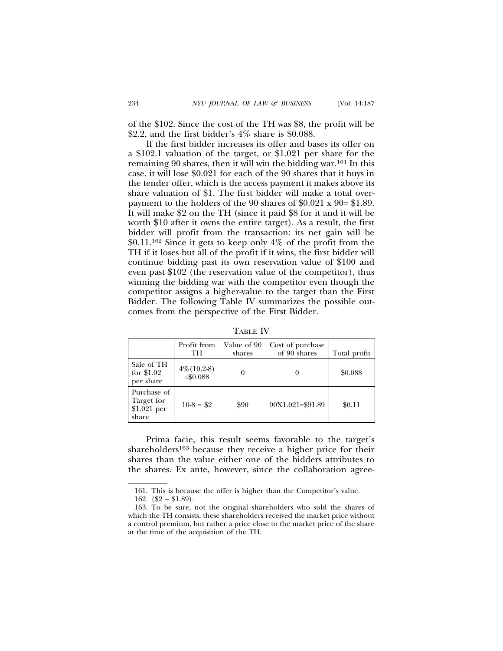of the \$102. Since the cost of the TH was \$8, the profit will be \$2.2, and the first bidder's  $4\%$  share is \$0.088.

If the first bidder increases its offer and bases its offer on a \$102.1 valuation of the target, or \$1.021 per share for the remaining 90 shares, then it will win the bidding war.161 In this case, it will lose \$0.021 for each of the 90 shares that it buys in the tender offer, which is the access payment it makes above its share valuation of \$1. The first bidder will make a total overpayment to the holders of the 90 shares of \$0.021 x 90= \$1.89. It will make \$2 on the TH (since it paid \$8 for it and it will be worth \$10 after it owns the entire target). As a result, the first bidder will profit from the transaction: its net gain will be  $$0.11$ <sup>162</sup> Since it gets to keep only 4\% of the profit from the TH if it loses but all of the profit if it wins, the first bidder will continue bidding past its own reservation value of \$100 and even past \$102 (the reservation value of the competitor), thus winning the bidding war with the competitor even though the competitor assigns a higher-value to the target than the First Bidder. The following Table IV summarizes the possible outcomes from the perspective of the First Bidder.

| - 1<br>. .<br>. | . . |
|-----------------|-----|
|-----------------|-----|

|                                                    | Profit from<br>TH            | Value of 90<br>shares | Cost of purchase<br>of 90 shares | Total profit |
|----------------------------------------------------|------------------------------|-----------------------|----------------------------------|--------------|
| Sale of TH<br>for $$1.02$<br>per share             | $4\% (10.2-8)$<br>$= $0.088$ |                       |                                  | \$0.088      |
| Purchase of<br>Target for<br>$$1.021$ per<br>share | $10-8 = $2$                  | \$90                  | 90X1.021=\$91.89                 | \$0.11       |

Prima facie, this result seems favorable to the target's shareholders<sup>163</sup> because they receive a higher price for their shares than the value either one of the bidders attributes to the shares. Ex ante, however, since the collaboration agree-

<sup>161.</sup> This is because the offer is higher than the Competitor's value.

<sup>162.</sup>  $(\$2 - \$1.89)$ .

<sup>163.</sup> To be sure, not the original shareholders who sold the shares of which the TH consists, these shareholders received the market price without a control premium, but rather a price close to the market price of the share at the time of the acquisition of the TH.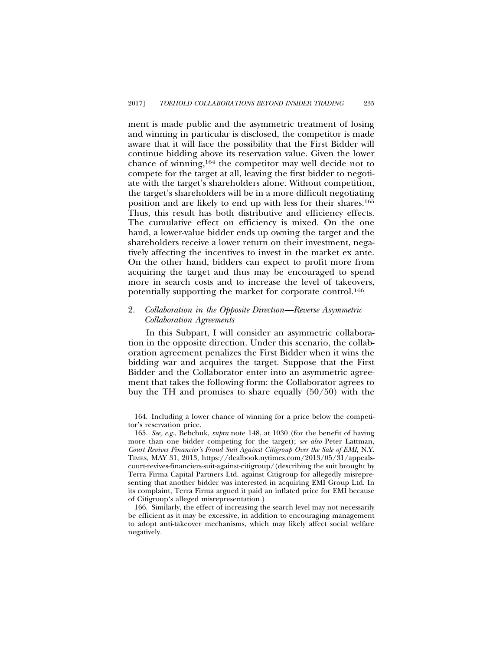ment is made public and the asymmetric treatment of losing and winning in particular is disclosed, the competitor is made aware that it will face the possibility that the First Bidder will continue bidding above its reservation value. Given the lower chance of winning,164 the competitor may well decide not to compete for the target at all, leaving the first bidder to negotiate with the target's shareholders alone. Without competition, the target's shareholders will be in a more difficult negotiating position and are likely to end up with less for their shares.165 Thus, this result has both distributive and efficiency effects. The cumulative effect on efficiency is mixed. On the one hand, a lower-value bidder ends up owning the target and the shareholders receive a lower return on their investment, negatively affecting the incentives to invest in the market ex ante. On the other hand, bidders can expect to profit more from acquiring the target and thus may be encouraged to spend more in search costs and to increase the level of takeovers, potentially supporting the market for corporate control.166

# 2. *Collaboration in the Opposite Direction—Reverse Asymmetric Collaboration Agreements*

In this Subpart, I will consider an asymmetric collaboration in the opposite direction. Under this scenario, the collaboration agreement penalizes the First Bidder when it wins the bidding war and acquires the target. Suppose that the First Bidder and the Collaborator enter into an asymmetric agreement that takes the following form: the Collaborator agrees to buy the TH and promises to share equally (50/50) with the

<sup>164.</sup> Including a lower chance of winning for a price below the competitor's reservation price.

<sup>165.</sup> *See, e.g.*, Bebchuk, *supra* note 148, at 1030 (for the benefit of having more than one bidder competing for the target); *see also* Peter Lattman, *Court Revives Financier's Fraud Suit Against Citigroup Over the Sale of EMI,* N.Y. TIMES, MAY 31, 2013, https://dealbook.nytimes.com/2013/05/31/appealscourt-revives-financiers-suit-against-citigroup/(describing the suit brought by Terra Firma Capital Partners Ltd. against Citigroup for allegedly misrepresenting that another bidder was interested in acquiring EMI Group Ltd. In its complaint, Terra Firma argued it paid an inflated price for EMI because of Citigroup's alleged misrepresentation.).

<sup>166.</sup> Similarly, the effect of increasing the search level may not necessarily be efficient as it may be excessive, in addition to encouraging management to adopt anti-takeover mechanisms, which may likely affect social welfare negatively.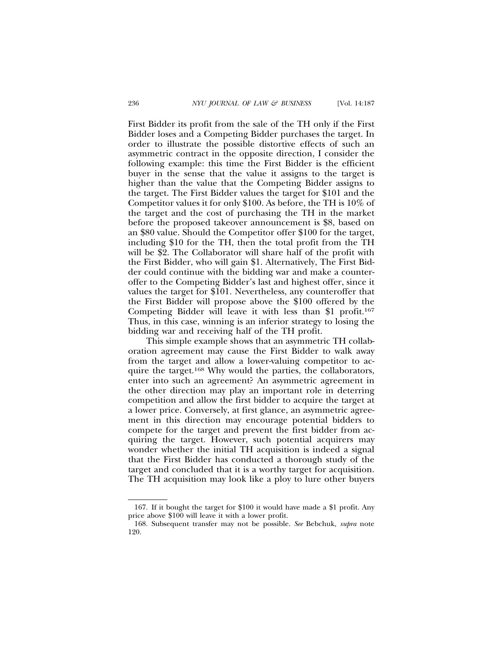First Bidder its profit from the sale of the TH only if the First Bidder loses and a Competing Bidder purchases the target. In order to illustrate the possible distortive effects of such an asymmetric contract in the opposite direction, I consider the following example: this time the First Bidder is the efficient buyer in the sense that the value it assigns to the target is higher than the value that the Competing Bidder assigns to the target. The First Bidder values the target for \$101 and the Competitor values it for only \$100. As before, the TH is 10% of the target and the cost of purchasing the TH in the market before the proposed takeover announcement is \$8, based on an \$80 value. Should the Competitor offer \$100 for the target, including \$10 for the TH, then the total profit from the TH will be \$2. The Collaborator will share half of the profit with the First Bidder, who will gain \$1. Alternatively, The First Bidder could continue with the bidding war and make a counteroffer to the Competing Bidder's last and highest offer, since it values the target for \$101. Nevertheless, any counteroffer that the First Bidder will propose above the \$100 offered by the Competing Bidder will leave it with less than \$1 profit.167 Thus, in this case, winning is an inferior strategy to losing the bidding war and receiving half of the TH profit.

This simple example shows that an asymmetric TH collaboration agreement may cause the First Bidder to walk away from the target and allow a lower-valuing competitor to acquire the target.168 Why would the parties, the collaborators, enter into such an agreement? An asymmetric agreement in the other direction may play an important role in deterring competition and allow the first bidder to acquire the target at a lower price. Conversely, at first glance, an asymmetric agreement in this direction may encourage potential bidders to compete for the target and prevent the first bidder from acquiring the target. However, such potential acquirers may wonder whether the initial TH acquisition is indeed a signal that the First Bidder has conducted a thorough study of the target and concluded that it is a worthy target for acquisition. The TH acquisition may look like a ploy to lure other buyers

<sup>167.</sup> If it bought the target for \$100 it would have made a \$1 profit. Any price above \$100 will leave it with a lower profit.

<sup>168.</sup> Subsequent transfer may not be possible. *See* Bebchuk, *supra* note 120.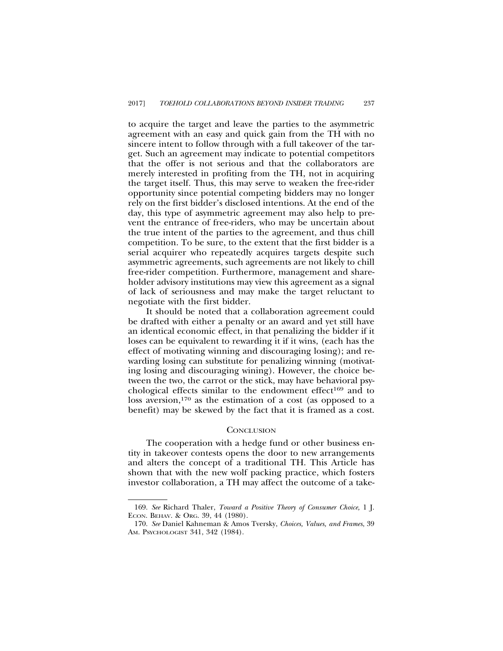to acquire the target and leave the parties to the asymmetric agreement with an easy and quick gain from the TH with no sincere intent to follow through with a full takeover of the target. Such an agreement may indicate to potential competitors that the offer is not serious and that the collaborators are merely interested in profiting from the TH, not in acquiring the target itself. Thus, this may serve to weaken the free-rider opportunity since potential competing bidders may no longer rely on the first bidder's disclosed intentions. At the end of the day, this type of asymmetric agreement may also help to prevent the entrance of free-riders, who may be uncertain about the true intent of the parties to the agreement, and thus chill competition. To be sure, to the extent that the first bidder is a serial acquirer who repeatedly acquires targets despite such asymmetric agreements, such agreements are not likely to chill free-rider competition. Furthermore, management and shareholder advisory institutions may view this agreement as a signal of lack of seriousness and may make the target reluctant to negotiate with the first bidder.

It should be noted that a collaboration agreement could be drafted with either a penalty or an award and yet still have an identical economic effect, in that penalizing the bidder if it loses can be equivalent to rewarding it if it wins, (each has the effect of motivating winning and discouraging losing); and rewarding losing can substitute for penalizing winning (motivating losing and discouraging wining). However, the choice between the two, the carrot or the stick, may have behavioral psychological effects similar to the endowment effect<sup>169</sup> and to loss aversion,<sup>170</sup> as the estimation of a cost (as opposed to a benefit) may be skewed by the fact that it is framed as a cost.

# **CONCLUSION**

The cooperation with a hedge fund or other business entity in takeover contests opens the door to new arrangements and alters the concept of a traditional TH. This Article has shown that with the new wolf packing practice, which fosters investor collaboration, a TH may affect the outcome of a take-

<sup>169.</sup> *See* Richard Thaler, *Toward a Positive Theory of Consumer Choice,* 1 J. ECON. BEHAV. & ORG. 39, 44 (1980).

<sup>170.</sup> *See* Daniel Kahneman & Amos Tversky, *Choices, Values, and Frames*, 39 AM. PSYCHOLOGIST 341, 342 (1984).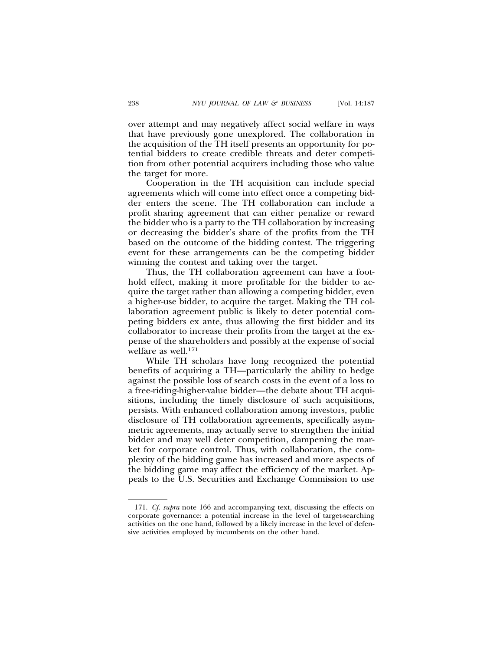over attempt and may negatively affect social welfare in ways that have previously gone unexplored. The collaboration in the acquisition of the TH itself presents an opportunity for potential bidders to create credible threats and deter competition from other potential acquirers including those who value the target for more.

Cooperation in the TH acquisition can include special agreements which will come into effect once a competing bidder enters the scene. The TH collaboration can include a profit sharing agreement that can either penalize or reward the bidder who is a party to the TH collaboration by increasing or decreasing the bidder's share of the profits from the TH based on the outcome of the bidding contest. The triggering event for these arrangements can be the competing bidder winning the contest and taking over the target.

Thus, the TH collaboration agreement can have a foothold effect, making it more profitable for the bidder to acquire the target rather than allowing a competing bidder, even a higher-use bidder, to acquire the target. Making the TH collaboration agreement public is likely to deter potential competing bidders ex ante, thus allowing the first bidder and its collaborator to increase their profits from the target at the expense of the shareholders and possibly at the expense of social welfare as well.171

While TH scholars have long recognized the potential benefits of acquiring a TH—particularly the ability to hedge against the possible loss of search costs in the event of a loss to a free-riding-higher-value bidder—the debate about TH acquisitions, including the timely disclosure of such acquisitions, persists. With enhanced collaboration among investors, public disclosure of TH collaboration agreements, specifically asymmetric agreements, may actually serve to strengthen the initial bidder and may well deter competition, dampening the market for corporate control. Thus, with collaboration, the complexity of the bidding game has increased and more aspects of the bidding game may affect the efficiency of the market. Appeals to the U.S. Securities and Exchange Commission to use

<sup>171.</sup> *Cf. supra* note 166 and accompanying text, discussing the effects on corporate governance: a potential increase in the level of target-searching activities on the one hand, followed by a likely increase in the level of defensive activities employed by incumbents on the other hand.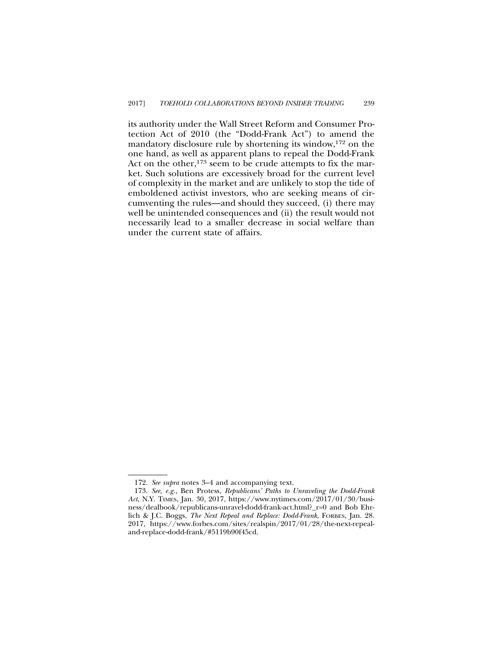its authority under the Wall Street Reform and Consumer Protection Act of 2010 (the "Dodd-Frank Act") to amend the mandatory disclosure rule by shortening its window,172 on the one hand, as well as apparent plans to repeal the Dodd-Frank Act on the other, $173$  seem to be crude attempts to fix the market. Such solutions are excessively broad for the current level of complexity in the market and are unlikely to stop the tide of emboldened activist investors, who are seeking means of circumventing the rules—and should they succeed, (i) there may well be unintended consequences and (ii) the result would not necessarily lead to a smaller decrease in social welfare than under the current state of affairs.

<sup>172.</sup> *See supra* notes 3–4 and accompanying text.

<sup>173.</sup> *See, e.g.,* Ben Protess, *Republicans' Paths to Unraveling the Dodd-Frank Act*, N.Y. TIMES, Jan. 30, 2017, https://www.nytimes.com/2017/01/30/business/dealbook/republicans-unravel-dodd-frank-act.html?\_r=0 and Bob Ehrlich & J.C. Boggs, *The Next Repeal and Replace: Dodd-Frank*, FORBES, Jan. 28. 2017, https://www.forbes.com/sites/realspin/2017/01/28/the-next-repealand-replace-dodd-frank/#5119b90f45cd.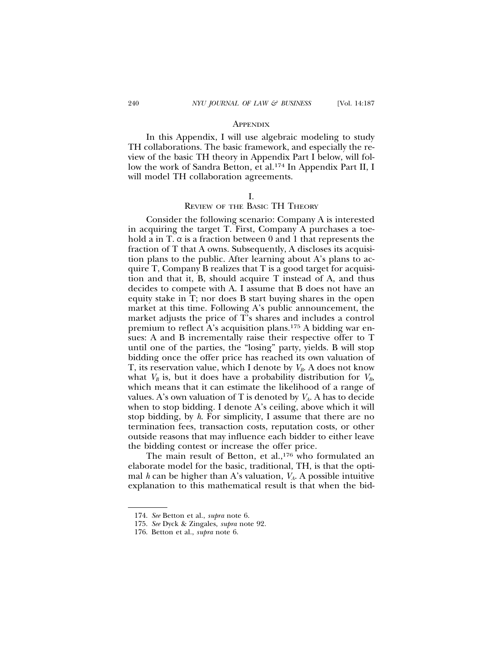#### **APPENDIX**

In this Appendix, I will use algebraic modeling to study TH collaborations. The basic framework, and especially the review of the basic TH theory in Appendix Part I below, will follow the work of Sandra Betton, et al.174 In Appendix Part II, I will model TH collaboration agreements.

# I.

### REVIEW OF THE BASIC TH THEORY

Consider the following scenario: Company A is interested in acquiring the target T. First, Company A purchases a toehold a in T.  $\alpha$  is a fraction between 0 and 1 that represents the fraction of T that A owns. Subsequently, A discloses its acquisition plans to the public. After learning about A's plans to acquire T, Company B realizes that T is a good target for acquisition and that it, B, should acquire T instead of A, and thus decides to compete with A. I assume that B does not have an equity stake in T; nor does B start buying shares in the open market at this time. Following A's public announcement, the market adjusts the price of T's shares and includes a control premium to reflect A's acquisition plans.175 A bidding war ensues: A and B incrementally raise their respective offer to T until one of the parties, the "losing" party, yields. B will stop bidding once the offer price has reached its own valuation of T, its reservation value, which I denote by  $V_B$ . A does not know what  $V_B$  is, but it does have a probability distribution for  $V_B$ , which means that it can estimate the likelihood of a range of values. A's own valuation of T is denoted by  $V_A$ . A has to decide when to stop bidding. I denote A's ceiling, above which it will stop bidding, by *h*. For simplicity, I assume that there are no termination fees, transaction costs, reputation costs, or other outside reasons that may influence each bidder to either leave the bidding contest or increase the offer price.

The main result of Betton, et al.,<sup>176</sup> who formulated an elaborate model for the basic, traditional, TH, is that the optimal *h* can be higher than A's valuation,  $V_A$ . A possible intuitive explanation to this mathematical result is that when the bid-

<sup>174.</sup> *See* Betton et al., *supra* note 6.

<sup>175.</sup> *See* Dyck & Zingales, *supra* note 92.

<sup>176.</sup> Betton et al., *supra* note 6.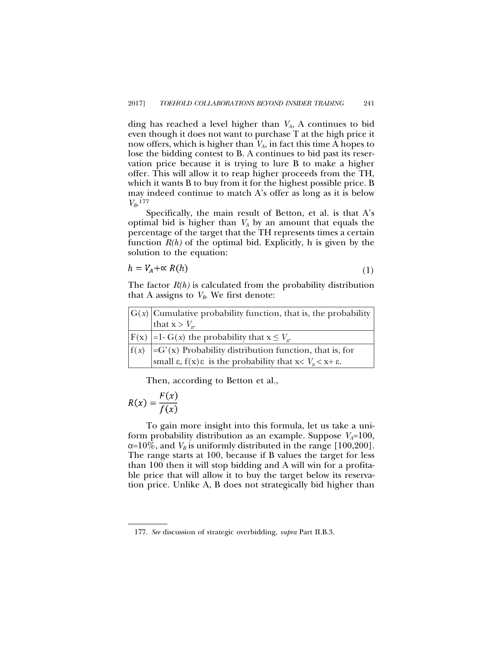ding has reached a level higher than *VA*, A continues to bid even though it does not want to purchase T at the high price it now offers, which is higher than  $V_A$ , in fact this time A hopes to lose the bidding contest to B. A continues to bid past its reservation price because it is trying to lure B to make a higher offer. This will allow it to reap higher proceeds from the TH, which it wants B to buy from it for the highest possible price. B may indeed continue to match A's offer as long as it is below *VB*. 177

Specifically, the main result of Betton, et al. is that A's optimal bid is higher than  $V_A$  by an amount that equals the percentage of the target that the TH represents times a certain function  $R(h)$  of the optimal bid. Explicitly, h is given by the solution to the equation:

$$
h = V_A + \alpha R(h) \tag{1}
$$

The factor *R(h)* is calculated from the probability distribution that A assigns to  $V_B$ . We first denote:

| $ G(x) $ Cumulative probability function, that is, the probability                            |
|-----------------------------------------------------------------------------------------------|
| that $x > V_{R}$ .                                                                            |
| $ F(x)  = 1-G(x)$ the probability that $x \leq V_{n}$ .                                       |
| $ f(x)  = G'(x)$ Probability distribution function, that is, for                              |
| small $\varepsilon$ , $f(x)\varepsilon$ is the probability that $x < V_n < x + \varepsilon$ . |

Then, according to Betton et al.,

$$
R(x) = \frac{F(x)}{f(x)}
$$

To gain more insight into this formula, let us take a uniform probability distribution as an example. Suppose  $V_A=100$ ,  $\alpha=10\%$ , and  $V_B$  is uniformly distributed in the range [100,200]. The range starts at 100, because if B values the target for less than 100 then it will stop bidding and A will win for a profitable price that will allow it to buy the target below its reservation price. Unlike A, B does not strategically bid higher than

<sup>177.</sup> *See* discussion of strategic overbidding*, supra* Part II.B.3.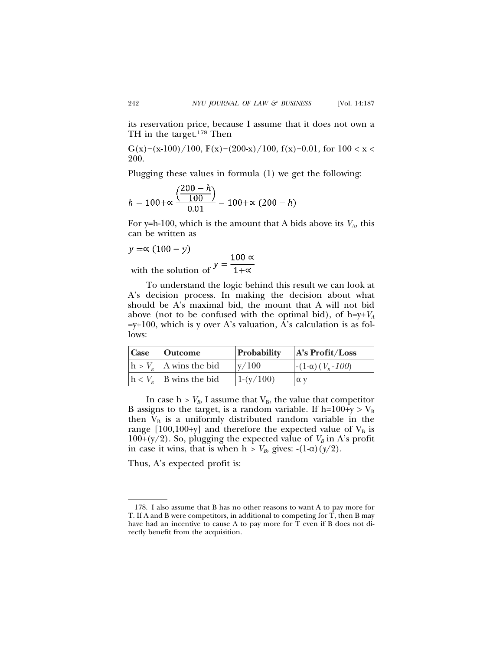its reservation price, because I assume that it does not own a TH in the target.178 Then

G(x)=(x-100)/100, F(x)=(200-x)/100, f(x)=0.01, for  $100 < x <$ 200.

Plugging these values in formula (1) we get the following:

$$
h = 100 + \propto \frac{\left(\frac{200 - h}{100}\right)}{0.01} = 100 + \propto (200 - h)
$$

For y=h-100, which is the amount that A bids above its  $V_A$ , this can be written as

$$
y = \propto (100 - y)
$$
  
with the solution of  $y = \frac{100 \propto}{1 + \propto}$ 

To understand the logic behind this result we can look at A's decision process. In making the decision about what should be A's maximal bid, the mount that A will not bid above (not to be confused with the optimal bid), of h=y+*VA*  $=y+100$ , which is y over A's valuation, A's calculation is as follows:

| Case Outcome                         | Probability | A's Profit/Loss                       |
|--------------------------------------|-------------|---------------------------------------|
| $\vert h V_{R} \vert$ A wins the bid | $\rm v/100$ | $\left[-(1-\alpha)(V_{p}-100)\right]$ |
| $ h \lt V_{n}$ B wins the bid        | $1-(y/100)$ | $\alpha$ v                            |

In case  $h > V_B$ , I assume that  $V_B$ , the value that competitor B assigns to the target, is a random variable. If h=100+y >  $V_B$ then  $V_B$  is a uniformly distributed random variable in the range  $[100,100+y]$  and therefore the expected value of  $V_B$  is  $100+(y/2)$ . So, plugging the expected value of  $V_B$  in A's profit in case it wins, that is when  $h > V_B$ , gives:  $-(1-\alpha)(y/2)$ .

Thus, A's expected profit is:

<sup>178.</sup> I also assume that B has no other reasons to want A to pay more for T. If A and B were competitors, in additional to competing for T, then B may have had an incentive to cause A to pay more for T even if B does not directly benefit from the acquisition.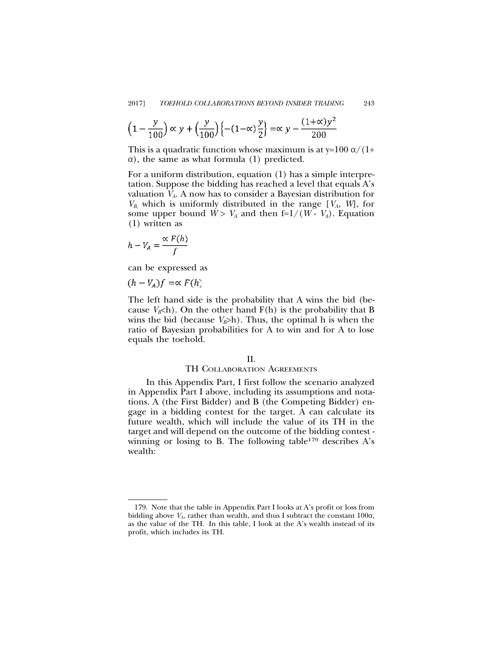$$
\left(1 - \frac{y}{100}\right) \propto y + \left(\frac{y}{100}\right) \left\{-\left(1 - \alpha\right) \frac{y}{2}\right\} = \alpha y - \frac{\left(1 + \alpha\right) y^2}{200}
$$

This is a quadratic function whose maximum is at y=100  $\alpha/(1+$  $\alpha$ ), the same as what formula (1) predicted.

For a uniform distribution, equation (1) has a simple interpretation. Suppose the bidding has reached a level that equals A's valuation *VA*. A now has to consider a Bayesian distribution for  $V_B$ , which is uniformly distributed in the range  $[V_A, W]$ , for some upper bound  $W > V_A$  and then f=1/( $W - V_A$ ). Equation (1) written as

$$
h - V_A = \frac{\propto F(h)}{f}
$$

can be expressed as

$$
(h-V_A)f=\propto F(h)
$$

The left hand side is the probability that A wins the bid (because  $V_B$ h). On the other hand  $F(h)$  is the probability that B wins the bid (because  $V_B$ >h). Thus, the optimal h is when the ratio of Bayesian probabilities for A to win and for A to lose equals the toehold.

# II.

# TH COLLABORATION AGREEMENTS

In this Appendix Part, I first follow the scenario analyzed in Appendix Part I above, including its assumptions and notations. A (the First Bidder) and B (the Competing Bidder) engage in a bidding contest for the target. A can calculate its future wealth, which will include the value of its TH in the target and will depend on the outcome of the bidding contest winning or losing to B. The following table  $179$  describes A's wealth:

<sup>179.</sup> Note that the table in Appendix Part I looks at A's profit or loss from bidding above  $V_A$ , rather than wealth, and thus I subtract the constant  $100\alpha$ , as the value of the TH. In this table, I look at the A's wealth instead of its profit, which includes its TH.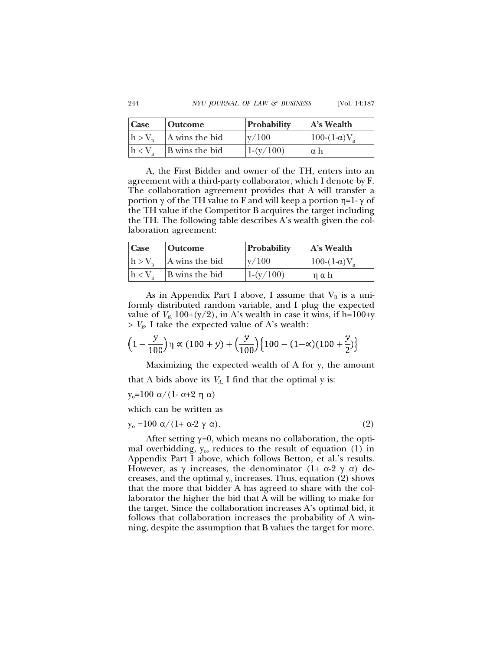| Case        | <b>Outcome</b> | Probability | $A's$ Wealth              |
|-------------|----------------|-------------|---------------------------|
| $h > V_{p}$ | A wins the bid | $\rm v/100$ | $100-(1-\alpha)V_{\rm B}$ |
| $h < V_{p}$ | B wins the bid | $1-(y/100)$ | Iαh                       |

A, the First Bidder and owner of the TH, enters into an agreement with a third-party collaborator, which I denote by F. The collaboration agreement provides that A will transfer a portion  $\gamma$  of the TH value to F and will keep a portion  $\eta=1-\gamma$  of the TH value if the Competitor B acquires the target including the TH. The following table describes A's wealth given the collaboration agreement:

| <b>Case</b>     | <b>Outcome</b> | Probability | $A's$ Wealth        |
|-----------------|----------------|-------------|---------------------|
| $h > V_{\rm n}$ | A wins the bid | $\rm v/100$ | $100-(1-\alpha)V_p$ |
| $h < V_{\rm p}$ | B wins the bid | $1-(y/100)$ | $\eta$ a h          |

As in Appendix Part I above, I assume that  $V_B$  is a uniformly distributed random variable, and I plug the expected value of  $V_{B}$ , 100+(y/2), in A's wealth in case it wins, if h=100+y  $> V_B$ . I take the expected value of A's wealth:

$$
\left(1 - \frac{y}{100}\right)\eta \propto (100 + y) + \left(\frac{y}{100}\right)\left\{100 - (1 - \infty)(100 + \frac{y}{2})\right\}
$$

Maximizing the expected wealth of A for y, the amount that A bids above its  $V_A$ , I find that the optimal y is:

y<sub>o</sub>=100 α/(1- α+2 η α)

which can be written as

$$
y_o = 100 \alpha / (1 + \alpha - 2 \gamma \alpha). \tag{2}
$$

After setting  $y=0$ , which means no collaboration, the optimal overbidding,  $y_0$ , reduces to the result of equation (1) in Appendix Part I above, which follows Betton, et al.'s results. However, as  $\gamma$  increases, the denominator (1+  $\alpha$ -2  $\gamma$   $\alpha$ ) decreases, and the optimal  $y_0$  increases. Thus, equation (2) shows that the more that bidder A has agreed to share with the collaborator the higher the bid that A will be willing to make for the target. Since the collaboration increases A's optimal bid, it follows that collaboration increases the probability of A winning, despite the assumption that B values the target for more.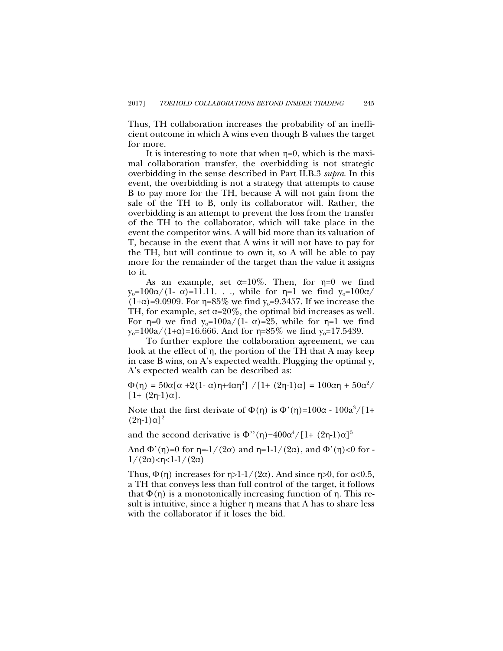Thus, TH collaboration increases the probability of an inefficient outcome in which A wins even though B values the target for more.

It is interesting to note that when  $\eta=0$ , which is the maximal collaboration transfer, the overbidding is not strategic overbidding in the sense described in Part II.B.3 *supra*. In this event, the overbidding is not a strategy that attempts to cause B to pay more for the TH, because A will not gain from the sale of the TH to B, only its collaborator will. Rather, the overbidding is an attempt to prevent the loss from the transfer of the TH to the collaborator, which will take place in the event the competitor wins. A will bid more than its valuation of T, because in the event that A wins it will not have to pay for the TH, but will continue to own it, so A will be able to pay more for the remainder of the target than the value it assigns to it.

As an example, set  $\alpha=10\%$ . Then, for  $\eta=0$  we find  $y_0=100\alpha/(1-\alpha)=11.11$ ..., while for  $\eta=1$  we find  $y_0=100\alpha/1$  $(1+\alpha) = 9.0909$ . For  $\eta = 85\%$  we find  $y_0 = 9.3457$ . If we increase the TH, for example, set  $\alpha = 20\%$ , the optimal bid increases as well. For  $\eta=0$  we find  $y_0=100a/(1-\alpha)=25$ , while for  $\eta=1$  we find  $y_0=100a/(1+\alpha)=16.666$ . And for  $\eta=85\%$  we find  $y_0=17.5439$ .

To further explore the collaboration agreement, we can look at the effect of  $\eta$ , the portion of the TH that A may keep in case B wins, on A's expected wealth. Plugging the optimal y, A's expected wealth can be described as:

 $\Phi(\eta) = 50\alpha[\alpha + 2(1 - \alpha)\eta + 4\alpha\eta^2] / [1 + (2\eta - 1)\alpha] = 100\alpha\eta + 50\alpha^2/$  $[1+(2n-1)\alpha]$ .

Note that the first derivate of  $\Phi(\eta)$  is  $\Phi'(\eta)=100\alpha - 100a^3/[1+\alpha]$  $(2n-1)\alpha$ <sup>2</sup>

and the second derivative is  $\Phi''(\eta)$ =400 $\alpha^4/[1+(2\eta-1)\alpha]^3$ 

And  $\Phi'(\eta)=0$  for  $\eta=1/(2\alpha)$  and  $\eta=1-1/(2\alpha)$ , and  $\Phi'(\eta)<0$  for - $1/(2\alpha)$  <  $\eta$  <  $1$ - $1/(2\alpha)$ 

Thus,  $\Phi(\eta)$  increases for  $\eta > 1$ -1/(2 $\alpha$ ). And since  $\eta > 0$ , for  $\alpha < 0.5$ , a TH that conveys less than full control of the target, it follows that  $\Phi(\eta)$  is a monotonically increasing function of  $\eta$ . This result is intuitive, since a higher  $\eta$  means that A has to share less with the collaborator if it loses the bid.